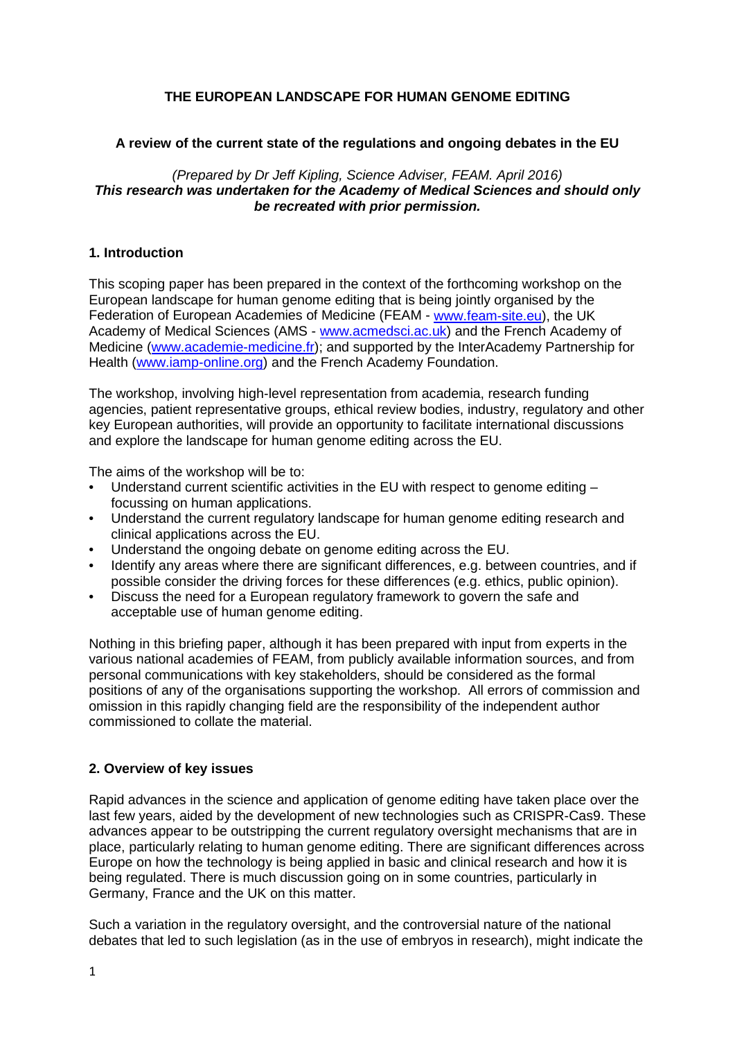# **THE EUROPEAN LANDSCAPE FOR HUMAN GENOME EDITING**

## **A review of the current state of the regulations and ongoing debates in the EU**

*(Prepared by Dr Jeff Kipling, Science Adviser, FEAM. April 2016) This research was undertaken for the Academy of Medical Sciences and should only be recreated with prior permission.*

### **1. Introduction**

This scoping paper has been prepared in the context of the forthcoming workshop on the European landscape for human genome editing that is being jointly organised by the Federation of European Academies of Medicine (FEAM - [www.feam-site.eu\)](http://www.feam-site.eu/), the UK Academy of Medical Sciences (AMS - [www.acmedsci.ac.uk\)](http://www.acmedsci.ac.uk/) and the French Academy of Medicine [\(www.academie-medicine.fr\)](http://www.academie-medicine.fr/); and supported by the InterAcademy Partnership for Health [\(www.iamp-online.org\)](http://www.iamp-online.org/) and the French Academy Foundation.

The workshop, involving high-level representation from academia, research funding agencies, patient representative groups, ethical review bodies, industry, regulatory and other key European authorities, will provide an opportunity to facilitate international discussions and explore the landscape for human genome editing across the EU.

The aims of the workshop will be to:

- Understand current scientific activities in the EU with respect to genome editing focussing on human applications.
- Understand the current regulatory landscape for human genome editing research and clinical applications across the EU.
- Understand the ongoing debate on genome editing across the EU.
- Identify any areas where there are significant differences, e.g. between countries, and if possible consider the driving forces for these differences (e.g. ethics, public opinion).
- Discuss the need for a European regulatory framework to govern the safe and acceptable use of human genome editing.

Nothing in this briefing paper, although it has been prepared with input from experts in the various national academies of FEAM, from publicly available information sources, and from personal communications with key stakeholders, should be considered as the formal positions of any of the organisations supporting the workshop. All errors of commission and omission in this rapidly changing field are the responsibility of the independent author commissioned to collate the material.

## **2. Overview of key issues**

Rapid advances in the science and application of genome editing have taken place over the last few years, aided by the development of new technologies such as CRISPR-Cas9. These advances appear to be outstripping the current regulatory oversight mechanisms that are in place, particularly relating to human genome editing. There are significant differences across Europe on how the technology is being applied in basic and clinical research and how it is being regulated. There is much discussion going on in some countries, particularly in Germany, France and the UK on this matter.

Such a variation in the regulatory oversight, and the controversial nature of the national debates that led to such legislation (as in the use of embryos in research), might indicate the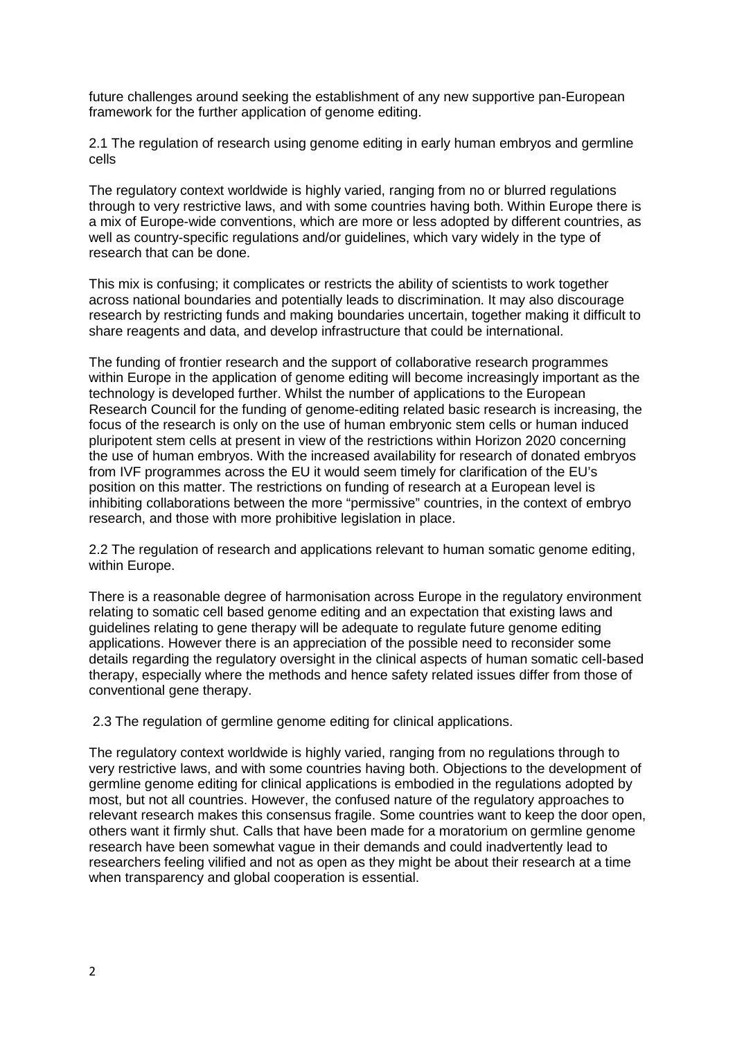future challenges around seeking the establishment of any new supportive pan-European framework for the further application of genome editing.

2.1 The regulation of research using genome editing in early human embryos and germline cells

The regulatory context worldwide is highly varied, ranging from no or blurred regulations through to very restrictive laws, and with some countries having both. Within Europe there is a mix of Europe-wide conventions, which are more or less adopted by different countries, as well as country-specific regulations and/or guidelines, which vary widely in the type of research that can be done.

This mix is confusing; it complicates or restricts the ability of scientists to work together across national boundaries and potentially leads to discrimination. It may also discourage research by restricting funds and making boundaries uncertain, together making it difficult to share reagents and data, and develop infrastructure that could be international.

The funding of frontier research and the support of collaborative research programmes within Europe in the application of genome editing will become increasingly important as the technology is developed further. Whilst the number of applications to the European Research Council for the funding of genome-editing related basic research is increasing, the focus of the research is only on the use of human embryonic stem cells or human induced pluripotent stem cells at present in view of the restrictions within Horizon 2020 concerning the use of human embryos. With the increased availability for research of donated embryos from IVF programmes across the EU it would seem timely for clarification of the EU's position on this matter. The restrictions on funding of research at a European level is inhibiting collaborations between the more "permissive" countries, in the context of embryo research, and those with more prohibitive legislation in place.

2.2 The regulation of research and applications relevant to human somatic genome editing, within Europe.

There is a reasonable degree of harmonisation across Europe in the regulatory environment relating to somatic cell based genome editing and an expectation that existing laws and guidelines relating to gene therapy will be adequate to regulate future genome editing applications. However there is an appreciation of the possible need to reconsider some details regarding the regulatory oversight in the clinical aspects of human somatic cell-based therapy, especially where the methods and hence safety related issues differ from those of conventional gene therapy.

2.3 The regulation of germline genome editing for clinical applications.

The regulatory context worldwide is highly varied, ranging from no regulations through to very restrictive laws, and with some countries having both. Objections to the development of germline genome editing for clinical applications is embodied in the regulations adopted by most, but not all countries. However, the confused nature of the regulatory approaches to relevant research makes this consensus fragile. Some countries want to keep the door open, others want it firmly shut. Calls that have been made for a moratorium on germline genome research have been somewhat vague in their demands and could inadvertently lead to researchers feeling vilified and not as open as they might be about their research at a time when transparency and global cooperation is essential.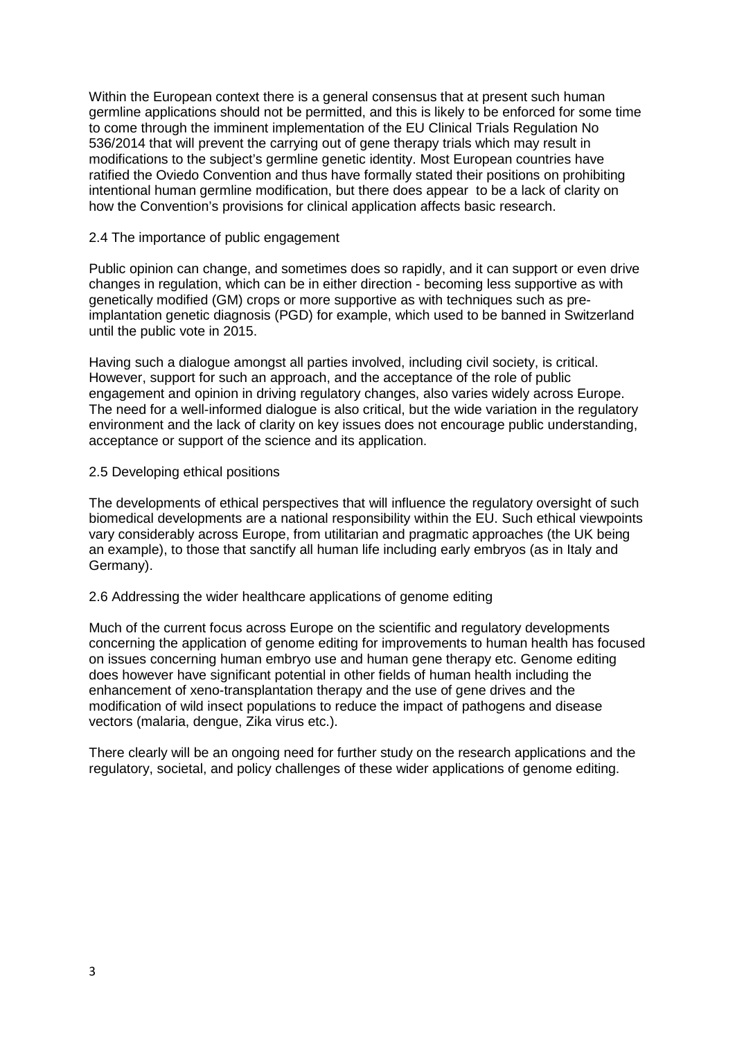Within the European context there is a general consensus that at present such human germline applications should not be permitted, and this is likely to be enforced for some time to come through the imminent implementation of the EU Clinical Trials Regulation No 536/2014 that will prevent the carrying out of gene therapy trials which may result in modifications to the subject's germline genetic identity. Most European countries have ratified the Oviedo Convention and thus have formally stated their positions on prohibiting intentional human germline modification, but there does appear to be a lack of clarity on how the Convention's provisions for clinical application affects basic research.

#### 2.4 The importance of public engagement

Public opinion can change, and sometimes does so rapidly, and it can support or even drive changes in regulation, which can be in either direction - becoming less supportive as with genetically modified (GM) crops or more supportive as with techniques such as preimplantation genetic diagnosis (PGD) for example, which used to be banned in Switzerland until the public vote in 2015.

Having such a dialogue amongst all parties involved, including civil society, is critical. However, support for such an approach, and the acceptance of the role of public engagement and opinion in driving regulatory changes, also varies widely across Europe. The need for a well-informed dialogue is also critical, but the wide variation in the regulatory environment and the lack of clarity on key issues does not encourage public understanding, acceptance or support of the science and its application.

### 2.5 Developing ethical positions

The developments of ethical perspectives that will influence the regulatory oversight of such biomedical developments are a national responsibility within the EU. Such ethical viewpoints vary considerably across Europe, from utilitarian and pragmatic approaches (the UK being an example), to those that sanctify all human life including early embryos (as in Italy and Germany).

#### 2.6 Addressing the wider healthcare applications of genome editing

Much of the current focus across Europe on the scientific and regulatory developments concerning the application of genome editing for improvements to human health has focused on issues concerning human embryo use and human gene therapy etc. Genome editing does however have significant potential in other fields of human health including the enhancement of xeno-transplantation therapy and the use of gene drives and the modification of wild insect populations to reduce the impact of pathogens and disease vectors (malaria, dengue, Zika virus etc.).

There clearly will be an ongoing need for further study on the research applications and the regulatory, societal, and policy challenges of these wider applications of genome editing.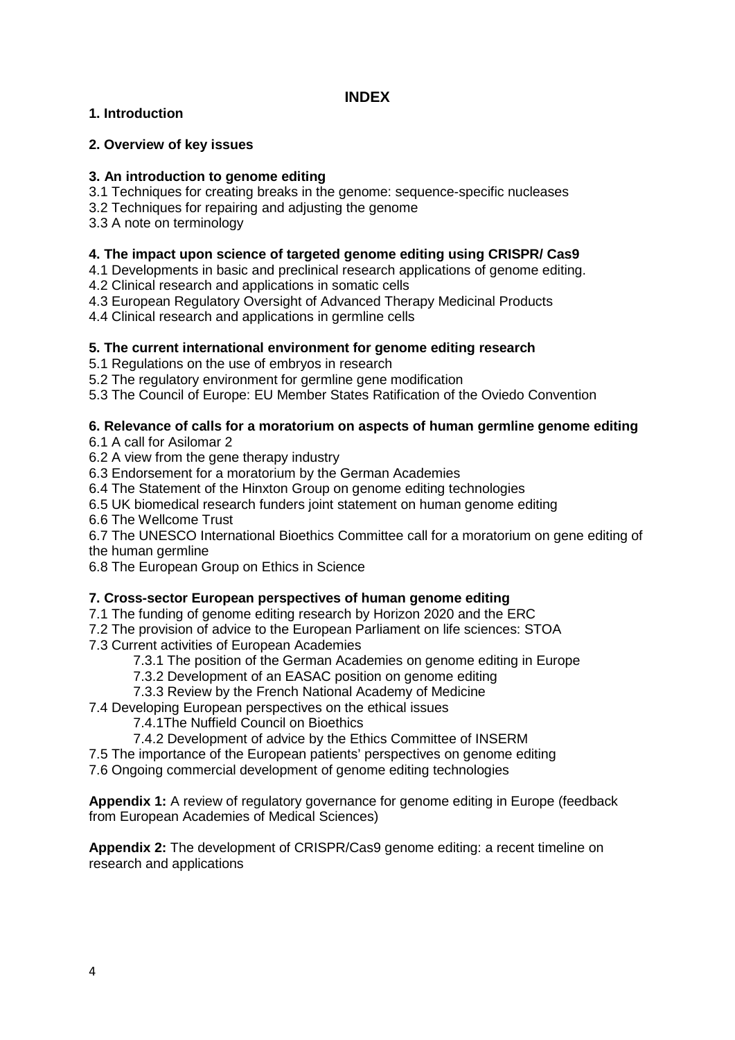# **1. Introduction**

## **2. Overview of key issues**

## **3. An introduction to genome editing**

- 3.1 Techniques for creating breaks in the genome: sequence-specific nucleases
- 3.2 Techniques for repairing and adjusting the genome
- 3.3 A note on terminology

## **4. The impact upon science of targeted genome editing using CRISPR/ Cas9**

- 4.1 Developments in basic and preclinical research applications of genome editing.
- 4.2 Clinical research and applications in somatic cells
- 4.3 European Regulatory Oversight of Advanced Therapy Medicinal Products

4.4 Clinical research and applications in germline cells

## **5. The current international environment for genome editing research**

5.1 Regulations on the use of embryos in research

5.2 The regulatory environment for germline gene modification

5.3 The Council of Europe: EU Member States Ratification of the Oviedo Convention

## **6. Relevance of calls for a moratorium on aspects of human germline genome editing**

6.1 A call for Asilomar 2

6.2 A view from the gene therapy industry

6.3 Endorsement for a moratorium by the German Academies

6.4 The Statement of the Hinxton Group on genome editing technologies

6.5 UK biomedical research funders joint statement on human genome editing

6.6 The Wellcome Trust

6.7 The UNESCO International Bioethics Committee call for a moratorium on gene editing of the human germline

6.8 The European Group on Ethics in Science

## **7. Cross-sector European perspectives of human genome editing**

- 7.1 The funding of genome editing research by Horizon 2020 and the ERC
- 7.2 The provision of advice to the European Parliament on life sciences: STOA
- 7.3 Current activities of European Academies
	- 7.3.1 The position of the German Academies on genome editing in Europe
	- 7.3.2 Development of an EASAC position on genome editing
	- 7.3.3 Review by the French National Academy of Medicine
- 7.4 Developing European perspectives on the ethical issues
	- 7.4.1The Nuffield Council on Bioethics
	- 7.4.2 Development of advice by the Ethics Committee of INSERM
- 7.5 The importance of the European patients' perspectives on genome editing

7.6 Ongoing commercial development of genome editing technologies

**Appendix 1:** A review of regulatory governance for genome editing in Europe (feedback from European Academies of Medical Sciences)

**Appendix 2:** The development of CRISPR/Cas9 genome editing: a recent timeline on research and applications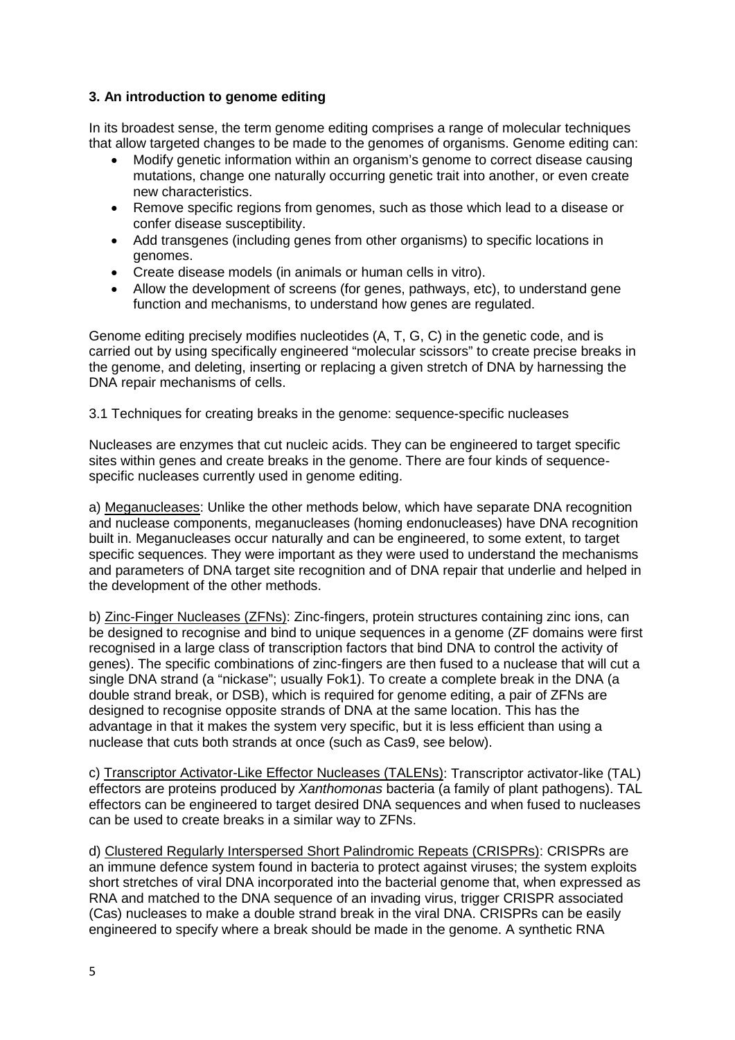# **3. An introduction to genome editing**

In its broadest sense, the term genome editing comprises a range of molecular techniques that allow targeted changes to be made to the genomes of organisms. Genome editing can:

- Modify genetic information within an organism's genome to correct disease causing mutations, change one naturally occurring genetic trait into another, or even create new characteristics.
- Remove specific regions from genomes, such as those which lead to a disease or confer disease susceptibility.
- Add transgenes (including genes from other organisms) to specific locations in genomes.
- Create disease models (in animals or human cells in vitro).
- Allow the development of screens (for genes, pathways, etc), to understand gene function and mechanisms, to understand how genes are regulated.

Genome editing precisely modifies nucleotides (A, T, G, C) in the genetic code, and is carried out by using specifically engineered "molecular scissors" to create precise breaks in the genome, and deleting, inserting or replacing a given stretch of DNA by harnessing the DNA repair mechanisms of cells.

3.1 Techniques for creating breaks in the genome: sequence-specific nucleases

Nucleases are enzymes that cut nucleic acids. They can be engineered to target specific sites within genes and create breaks in the genome. There are four kinds of sequencespecific nucleases currently used in genome editing.

a) Meganucleases: Unlike the other methods below, which have separate DNA recognition and nuclease components, meganucleases (homing endonucleases) have DNA recognition built in. Meganucleases occur naturally and can be engineered, to some extent, to target specific sequences. They were important as they were used to understand the mechanisms and parameters of DNA target site recognition and of DNA repair that underlie and helped in the development of the other methods.

b) Zinc-Finger Nucleases (ZFNs): Zinc-fingers, protein structures containing zinc ions, can be designed to recognise and bind to unique sequences in a genome (ZF domains were first recognised in a large class of transcription factors that bind DNA to control the activity of genes). The specific combinations of zinc-fingers are then fused to a nuclease that will cut a single DNA strand (a "nickase"; usually Fok1). To create a complete break in the DNA (a double strand break, or DSB), which is required for genome editing, a pair of ZFNs are designed to recognise opposite strands of DNA at the same location. This has the advantage in that it makes the system very specific, but it is less efficient than using a nuclease that cuts both strands at once (such as Cas9, see below).

c) Transcriptor Activator-Like Effector Nucleases (TALENs): Transcriptor activator-like (TAL) effectors are proteins produced by *Xanthomonas* bacteria (a family of plant pathogens). TAL effectors can be engineered to target desired DNA sequences and when fused to nucleases can be used to create breaks in a similar way to ZFNs.

d) Clustered Regularly Interspersed Short Palindromic Repeats (CRISPRs): CRISPRs are an immune defence system found in bacteria to protect against viruses; the system exploits short stretches of viral DNA incorporated into the bacterial genome that, when expressed as RNA and matched to the DNA sequence of an invading virus, trigger CRISPR associated (Cas) nucleases to make a double strand break in the viral DNA. CRISPRs can be easily engineered to specify where a break should be made in the genome. A synthetic RNA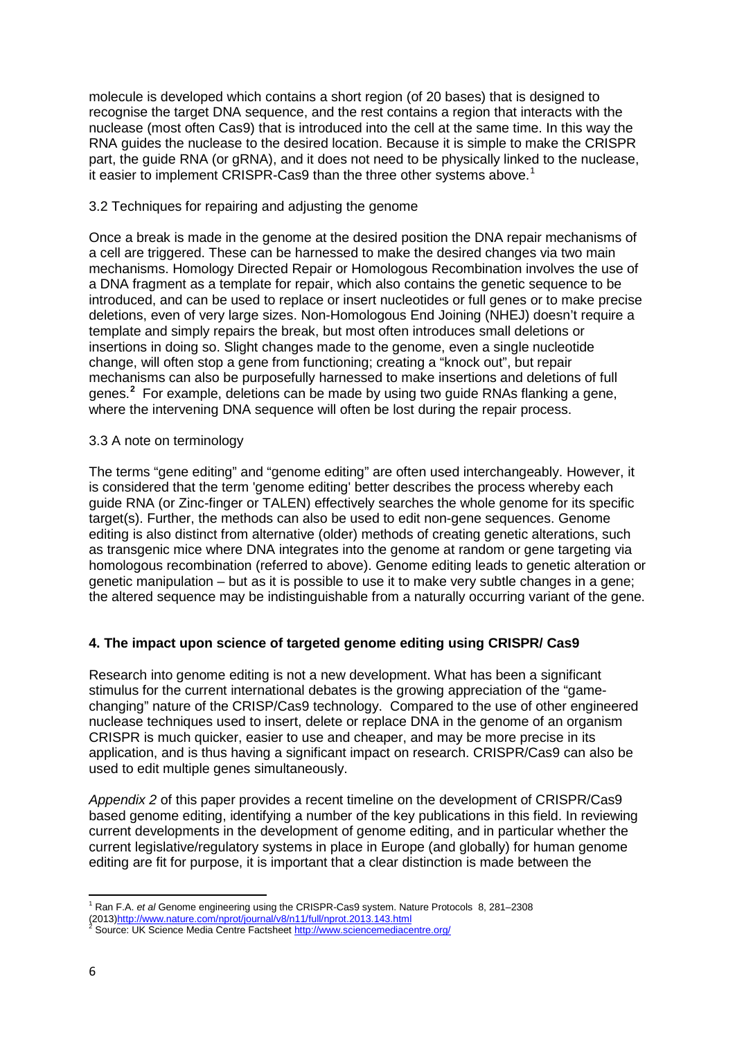molecule is developed which contains a short region (of 20 bases) that is designed to recognise the target DNA sequence, and the rest contains a region that interacts with the nuclease (most often Cas9) that is introduced into the cell at the same time. In this way the RNA guides the nuclease to the desired location. Because it is simple to make the CRISPR part, the guide RNA (or gRNA), and it does not need to be physically linked to the nuclease, it easier to implement CRISPR-Cas9 than the three other systems above.<sup>[1](#page-5-0)</sup>

## 3.2 Techniques for repairing and adjusting the genome

Once a break is made in the genome at the desired position the DNA repair mechanisms of a cell are triggered. These can be harnessed to make the desired changes via two main mechanisms. Homology Directed Repair or Homologous Recombination involves the use of a DNA fragment as a template for repair, which also contains the genetic sequence to be introduced, and can be used to replace or insert nucleotides or full genes or to make precise deletions, even of very large sizes. Non-Homologous End Joining (NHEJ) doesn't require a template and simply repairs the break, but most often introduces small deletions or insertions in doing so. Slight changes made to the genome, even a single nucleotide change, will often stop a gene from functioning; creating a "knock out", but repair mechanisms can also be purposefully harnessed to make insertions and deletions of full genes. **[2](#page-5-1)** For example, deletions can be made by using two guide RNAs flanking a gene, where the intervening DNA sequence will often be lost during the repair process.

## 3.3 A note on terminology

The terms "gene editing" and "genome editing" are often used interchangeably. However, it is considered that the term 'genome editing' better describes the process whereby each guide RNA (or Zinc-finger or TALEN) effectively searches the whole genome for its specific target(s). Further, the methods can also be used to edit non-gene sequences. Genome editing is also distinct from alternative (older) methods of creating genetic alterations, such as transgenic mice where DNA integrates into the genome at random or gene targeting via homologous recombination (referred to above). Genome editing leads to genetic alteration or genetic manipulation – but as it is possible to use it to make very subtle changes in a gene; the altered sequence may be indistinguishable from a naturally occurring variant of the gene.

# **4. The impact upon science of targeted genome editing using CRISPR/ Cas9**

Research into genome editing is not a new development. What has been a significant stimulus for the current international debates is the growing appreciation of the "gamechanging" nature of the CRISP/Cas9 technology. Compared to the use of other engineered nuclease techniques used to insert, delete or replace DNA in the genome of an organism CRISPR is much quicker, easier to use and cheaper, and may be more precise in its application, and is thus having a significant impact on research. CRISPR/Cas9 can also be used to edit multiple genes simultaneously.

*Appendix 2* of this paper provides a recent timeline on the development of CRISPR/Cas9 based genome editing, identifying a number of the key publications in this field. In reviewing current developments in the development of genome editing, and in particular whether the current legislative/regulatory systems in place in Europe (and globally) for human genome editing are fit for purpose, it is important that a clear distinction is made between the

<span id="page-5-0"></span>**<sup>.</sup>** <sup>1</sup> Ran F.A. *et al* Genome engineering using the CRISPR-Cas9 system. Nature Protocols 8, 281–2308 (2013[\)http://www.nature.com/nprot/journal/v8/n11/full/nprot.2013.143.html](http://www.nature.com/nprot/journal/v8/n11/full/nprot.2013.143.html)<br>
<sup>2</sup> Source: UK Science Media Centre Factshee[t http://www.sciencemediacentre.org/](http://www.sciencemediacentre.org/)

<span id="page-5-1"></span>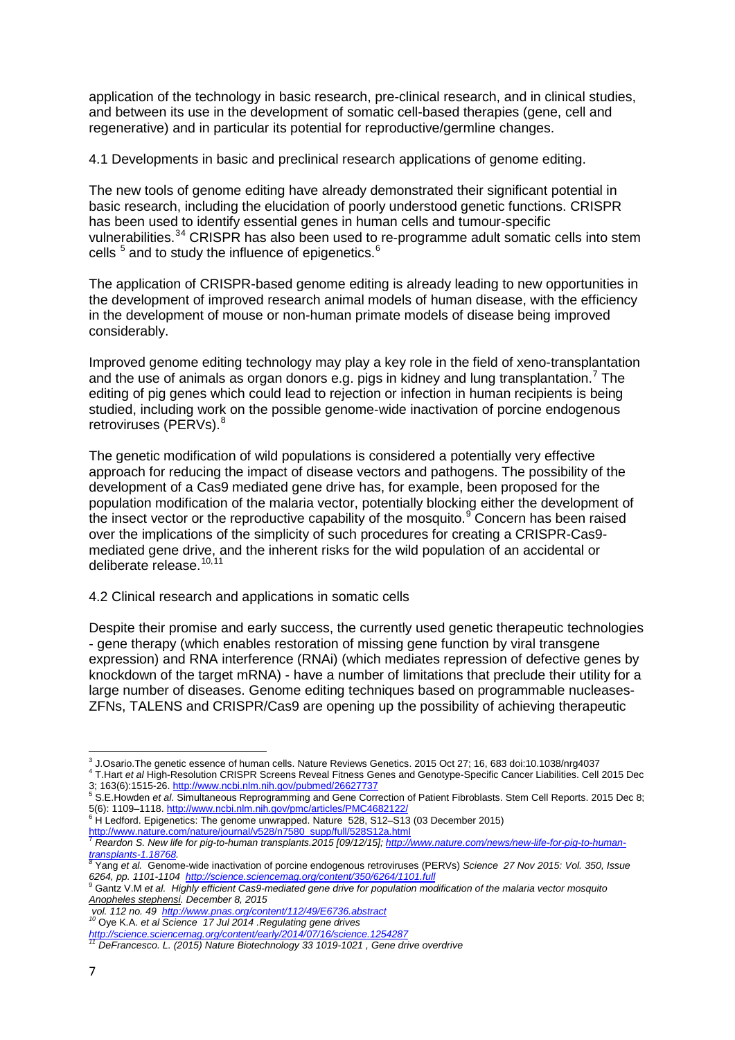application of the technology in basic research, pre-clinical research, and in clinical studies, and between its use in the development of somatic cell-based therapies (gene, cell and regenerative) and in particular its potential for reproductive/germline changes.

4.1 Developments in basic and preclinical research applications of genome editing.

The new tools of genome editing have already demonstrated their significant potential in basic research, including the elucidation of poorly understood genetic functions. CRISPR has been used to identify essential genes in human cells and tumour-specific vulnerabilities.<sup>[3](#page-6-0)[4](#page-6-1)</sup> CRISPR has also been used to re-programme adult somatic cells into stem cells  $5$  and to study the influence of epigenetics.  $6$ 

The application of CRISPR-based genome editing is already leading to new opportunities in the development of improved research animal models of human disease, with the efficiency in the development of mouse or non-human primate models of disease being improved considerably.

Improved genome editing technology may play a key role in the field of xeno-transplantation and the use of animals as organ donors e.g. pigs in kidney and lung transplantation.<sup>[7](#page-6-4)</sup> The editing of pig genes which could lead to rejection or infection in human recipients is being studied, including work on the possible genome-wide inactivation of porcine endogenous retroviruses (PERVs).<sup>[8](#page-6-5)</sup>

The genetic modification of wild populations is considered a potentially very effective approach for reducing the impact of disease vectors and pathogens. The possibility of the development of a Cas9 mediated gene drive has, for example, been proposed for the population modification of the malaria vector, potentially blocking either the development of the insect vector or the reproductive capability of the mosquito. $9^{\circ}$  $9^{\circ}$  Concern has been raised over the implications of the simplicity of such procedures for creating a CRISPR-Cas9 mediated gene drive, and the inherent risks for the wild population of an accidental or deliberate release.<sup>[10,](#page-6-7)[11](#page-6-8)</sup>

## 4.2 Clinical research and applications in somatic cells

Despite their promise and early success, the currently used genetic therapeutic technologies - gene therapy (which enables restoration of missing gene function by viral transgene expression) and RNA interference (RNAi) (which mediates repression of defective genes by knockdown of the target mRNA) - have a number of limitations that preclude their utility for a large number of diseases. Genome editing techniques based on programmable nucleases-ZFNs, TALENS and CRISPR/Cas9 are opening up the possibility of achieving therapeutic

*vol. 112 no. 49 <http://www.pnas.org/content/112/49/E6736.abstract> <sup>10</sup>* Oye K.A. *et al Science 17 Jul 2014 .Regulating gene drives* 

<span id="page-6-1"></span><span id="page-6-0"></span><sup>&</sup>lt;sup>3</sup> J.Osario.The genetic essence of human cells. Nature Reviews Genetics. 2015 Oct 27; 16, 683 doi:10.1038/nrg4037 4 T. Hart et al High-Resolution CRISPR Screens Reveal Fitness Genes and Genotype-Specific Cancer Liabilities. Cell 2015 Dec<br>3; 163(6):1515-26. http://www.ncbi.nlm.nih.gov/pubmed/26627737<br>5 S. E. Hourdon of al Simulteneous

<span id="page-6-2"></span>S.E. Howden et al. Simultaneous Reprogramming and Gene Correction of Patient Fibroblasts. Stem Cell Reports. 2015 Dec 8; 5(6): 1109–1118.<http://www.ncbi.nlm.nih.gov/pmc/articles/PMC4682122/><br>
<sup>6</sup> H Ledford. Epigenetics: The genome unwrapped. Nature 528, S12–S13 (03 December 2015)

<span id="page-6-3"></span>[http://www.nature.com/nature/journal/v528/n7580\\_supp/full/528S12a.html](http://www.nature.com/nature/journal/v528/n7580_supp/full/528S12a.html) <sup>7</sup> *Reardon S. New life for pig-to-human transplants.2015 [09/12/15][; http://www.nature.com/news/new-life-for-pig-to-human-](http://www.nature.com/news/new-life-for-pig-to-human-transplants-1.18768)*

<span id="page-6-5"></span><span id="page-6-4"></span>*[transplants-1.18768.](http://www.nature.com/news/new-life-for-pig-to-human-transplants-1.18768) <sup>8</sup>* Yang *et al.* Genome-wide inactivation of porcine endogenous retroviruses (PERVs) *Science 27 Nov 2015: Vol. 350, Issue 6264, pp. 1101-1104<http://science.sciencemag.org/content/350/6264/1101.full>* <sup>9</sup> Gantz V.M *et al. Highly efficient Cas9-mediated gene drive for population modification of the malaria vector mosquito* 

<span id="page-6-6"></span>*Anopheles stephensi. December 8, 2015* 

<span id="page-6-8"></span><span id="page-6-7"></span>*<http://science.sciencemag.org/content/early/2014/07/16/science.1254287> <sup>11</sup> DeFrancesco. L. (2015) Nature Biotechnology 33 1019-1021 , Gene drive overdrive*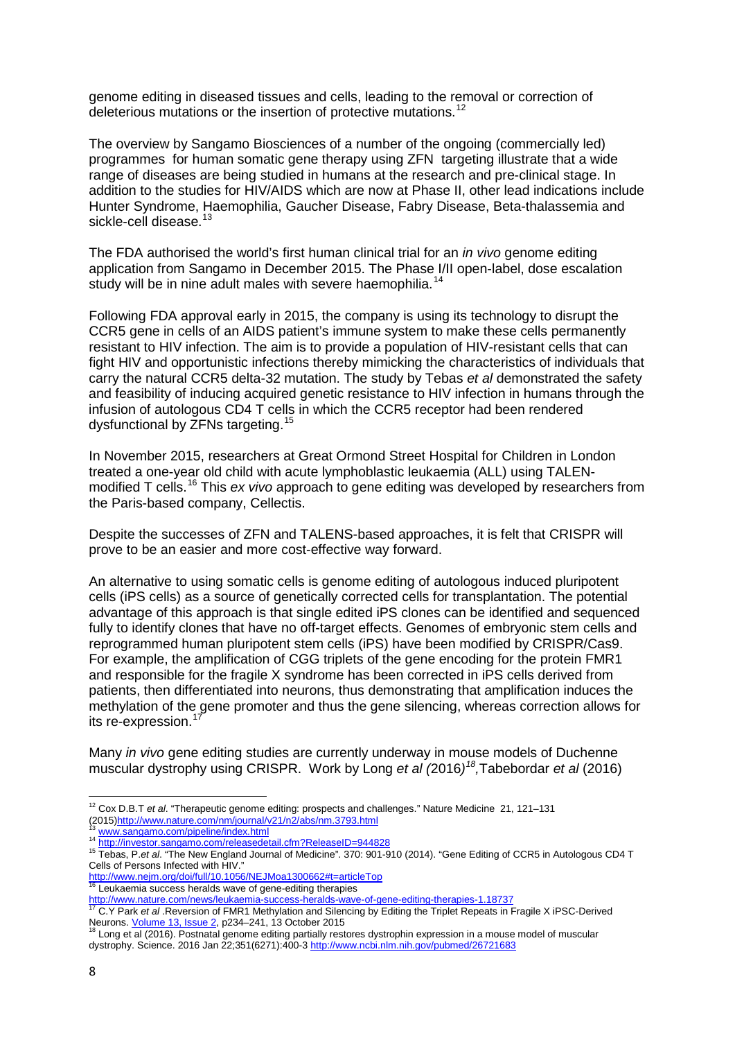genome editing in diseased tissues and cells, leading to the removal or correction of deleterious mutations or the insertion of protective mutations.<sup>[12](#page-7-0)</sup>

The overview by Sangamo Biosciences of a number of the ongoing (commercially led) programmes for human somatic gene therapy using ZFN targeting illustrate that a wide range of diseases are being studied in humans at the research and pre-clinical stage. In addition to the studies for HIV/AIDS which are now at Phase II, other lead indications include Hunter Syndrome, Haemophilia, Gaucher Disease, Fabry Disease, Beta-thalassemia and sickle-cell disease.<sup>[13](#page-7-1)</sup>

The FDA authorised the world's first human clinical trial for an *in vivo* genome editing application from Sangamo in December 2015. The Phase I/II open-label, dose escalation study will be in nine adult males with severe haemophilia.<sup>[14](#page-7-2)</sup>

Following FDA approval early in 2015, the company is using its technology to disrupt the CCR5 gene in cells of an AIDS patient's immune system to make these cells permanently resistant to HIV infection. The aim is to provide a population of HIV-resistant cells that can fight HIV and opportunistic infections thereby mimicking the characteristics of individuals that carry the natural CCR5 delta-32 mutation. The study by Tebas *et al* demonstrated the safety and feasibility of inducing acquired genetic resistance to HIV infection in humans through the infusion of autologous CD4 T cells in which the CCR5 receptor had been rendered dysfunctional by ZFNs targeting.<sup>[15](#page-7-3)</sup>

In November 2015, researchers at Great Ormond Street Hospital for Children in London treated a one-year old child with acute lymphoblastic leukaemia (ALL) using TALEN-modified T cells.<sup>[16](#page-7-4)</sup> This ex vivo approach to gene editing was developed by researchers from the Paris-based company, Cellectis.

Despite the successes of ZFN and TALENS-based approaches, it is felt that CRISPR will prove to be an easier and more cost-effective way forward.

An alternative to using somatic cells is genome editing of autologous induced pluripotent cells (iPS cells) as a source of genetically corrected cells for transplantation. The potential advantage of this approach is that single edited iPS clones can be identified and sequenced fully to identify clones that have no off-target effects. Genomes of embryonic stem cells and reprogrammed human pluripotent stem cells (iPS) have been modified by CRISPR/Cas9. For example, the amplification of CGG triplets of the gene encoding for the protein FMR1 and responsible for the fragile X syndrome has been corrected in iPS cells derived from patients, then differentiated into neurons, thus demonstrating that amplification induces the methylation of the gene promoter and thus the gene silencing, whereas correction allows for its re-expression. [17](#page-7-5)

Many *in vivo* gene editing studies are currently underway in mouse models of Duchenne muscular dystrophy using CRISPR. Work by Long *et al (*2016*) [18](#page-7-6) ,*Tabebordar *et al* (2016)

<span id="page-7-0"></span>**<sup>.</sup>** <sup>12</sup> Cox D.B.T *et al*. "Therapeutic genome editing: prospects and challenges." Nature Medicine 21, 121–131 (2015) http://www.nature.com/nm/journal/v21/n2/abs/nm.3793.html<br><sup>13</sup> www.sangamo.com/pipeline/index.html

<span id="page-7-3"></span><span id="page-7-2"></span><span id="page-7-1"></span><sup>14</sup> www.co.urganic.com/releasedetail.cfm?ReleaseID=944828<br>15 Tebas, P.*et al.* "The New England Journal of Medicine", 370: 901-910 (2014). "Gene Editing of CCR5 in Autologous CD4 T Cells of Persons Infected with HIV."

<sup>&</sup>lt;u><http://www.nejm.org/doi/full/10.1056/NEJMoa1300662#t=articleTop></u><br><sup>16</sup> Leukaemia success heralds wave of gene-editing therapies

<span id="page-7-5"></span><span id="page-7-4"></span><http://www.nature.com/news/leukaemia-success-heralds-wave-of-gene-editing-therapies-1.18737> <sup>17</sup> C.Y Park *et al* .Reversion of FMR1 Methylation and Silencing by Editing the Triplet Repeats in Fragile X iPSC-Derived Neurons[. Volume 13, Issue 2,](http://www.cell.com/cell-reports/issue?pii=S2211-1247(14)X0063-X) p234–241, 13 October 2015<br><sup>18</sup> Long et al (2016). Postnatal genome editing partially restores dystrophin expression in a mouse model of muscular

<span id="page-7-6"></span>dystrophy. Science. 2016 Jan 22;351(6271):400-[3 http://www.ncbi.nlm.nih.gov/pubmed/26721683](http://www.ncbi.nlm.nih.gov/pubmed/26721683)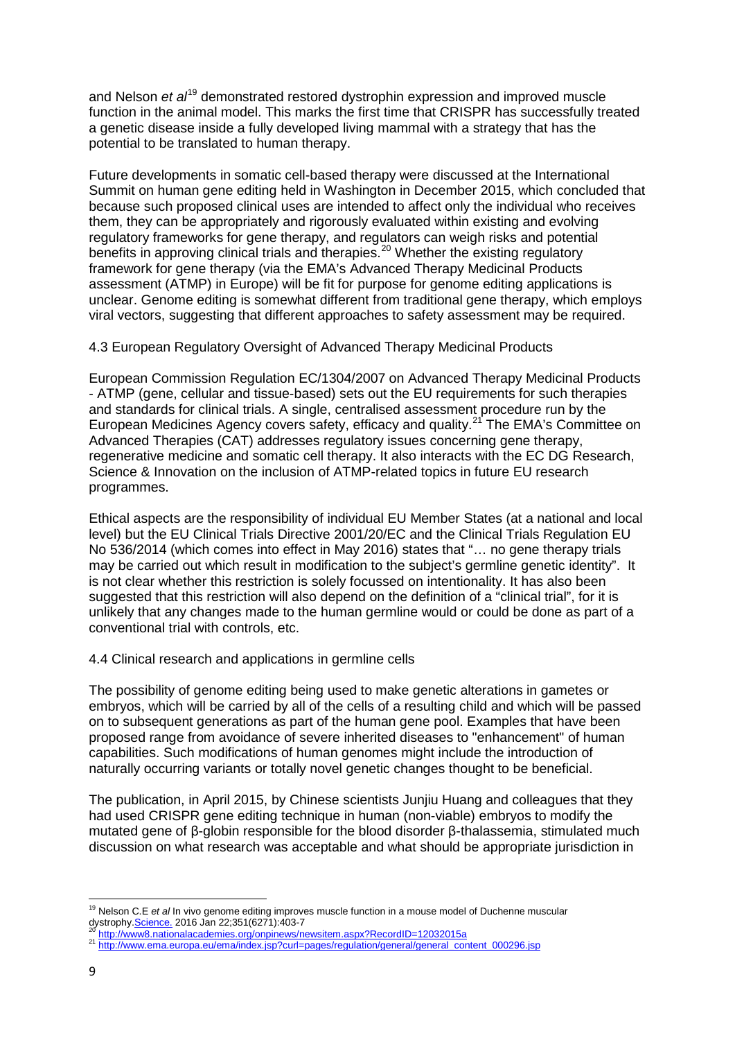and Nelson *et al*<sup>[19](#page-8-0)</sup> demonstrated restored dystrophin expression and improved muscle function in the animal model. This marks the first time that CRISPR has successfully treated a genetic disease inside a fully developed living mammal with a strategy that has the potential to be translated to human therapy.

Future developments in somatic cell-based therapy were discussed at the International Summit on human gene editing held in Washington in December 2015, which concluded that because such proposed clinical uses are intended to affect only the individual who receives them, they can be appropriately and rigorously evaluated within existing and evolving regulatory frameworks for gene therapy, and regulators can weigh risks and potential benefits in approving clinical trials and therapies.<sup>[20](#page-8-1)</sup> Whether the existing regulatory framework for gene therapy (via the EMA's Advanced Therapy Medicinal Products assessment (ATMP) in Europe) will be fit for purpose for genome editing applications is unclear. Genome editing is somewhat different from traditional gene therapy, which employs viral vectors, suggesting that different approaches to safety assessment may be required.

4.3 European Regulatory Oversight of Advanced Therapy Medicinal Products

European Commission Regulation EC/1304/2007 on Advanced Therapy Medicinal Products - ATMP (gene, cellular and tissue-based) sets out the EU requirements for such therapies and standards for clinical trials. A single, centralised assessment procedure run by the European Medicines Agency covers safety, efficacy and quality.<sup>[21](#page-8-2)</sup> The EMA's Committee on Advanced Therapies (CAT) addresses regulatory issues concerning gene therapy, regenerative medicine and somatic cell therapy. It also interacts with the EC DG Research, Science & Innovation on the inclusion of ATMP-related topics in future EU research programmes.

Ethical aspects are the responsibility of individual EU Member States (at a national and local level) but the EU Clinical Trials Directive 2001/20/EC and the Clinical Trials Regulation EU No 536/2014 (which comes into effect in May 2016) states that "… no gene therapy trials may be carried out which result in modification to the subject's germline genetic identity". It is not clear whether this restriction is solely focussed on intentionality. It has also been suggested that this restriction will also depend on the definition of a "clinical trial", for it is unlikely that any changes made to the human germline would or could be done as part of a conventional trial with controls, etc.

4.4 Clinical research and applications in germline cells

The possibility of genome editing being used to make genetic alterations in gametes or embryos, which will be carried by all of the cells of a resulting child and which will be passed on to subsequent generations as part of the human gene pool. Examples that have been proposed range from avoidance of severe inherited diseases to "enhancement" of human capabilities. Such modifications of human genomes might include the introduction of naturally occurring variants or totally novel genetic changes thought to be beneficial.

The publication, in April 2015, by Chinese scientists Junjiu Huang and colleagues that they had used CRISPR gene editing technique in human (non-viable) embryos to modify the mutated gene of β-globin responsible for the blood disorder β-thalassemia, stimulated much discussion on what research was acceptable and what should be appropriate jurisdiction in

<span id="page-8-0"></span>**<sup>.</sup>** <sup>19</sup> Nelson C.E *et al* In vivo genome editing improves muscle function in a mouse model of Duchenne muscular dystrophy[.Science.](http://www.ncbi.nlm.nih.gov/pubmed/26721684) 2016 Jan 22;351(6271):403-7<br><sup>20</sup> <http://www8.nationalacademies.org/onpinews/newsitem.aspx?RecordID=12032015a><br><sup>21</sup> http://www.ema.europa.eu/ema/index.jsp?curl=pages/regulation/general/general\_content\_0002

<span id="page-8-1"></span>

<span id="page-8-2"></span>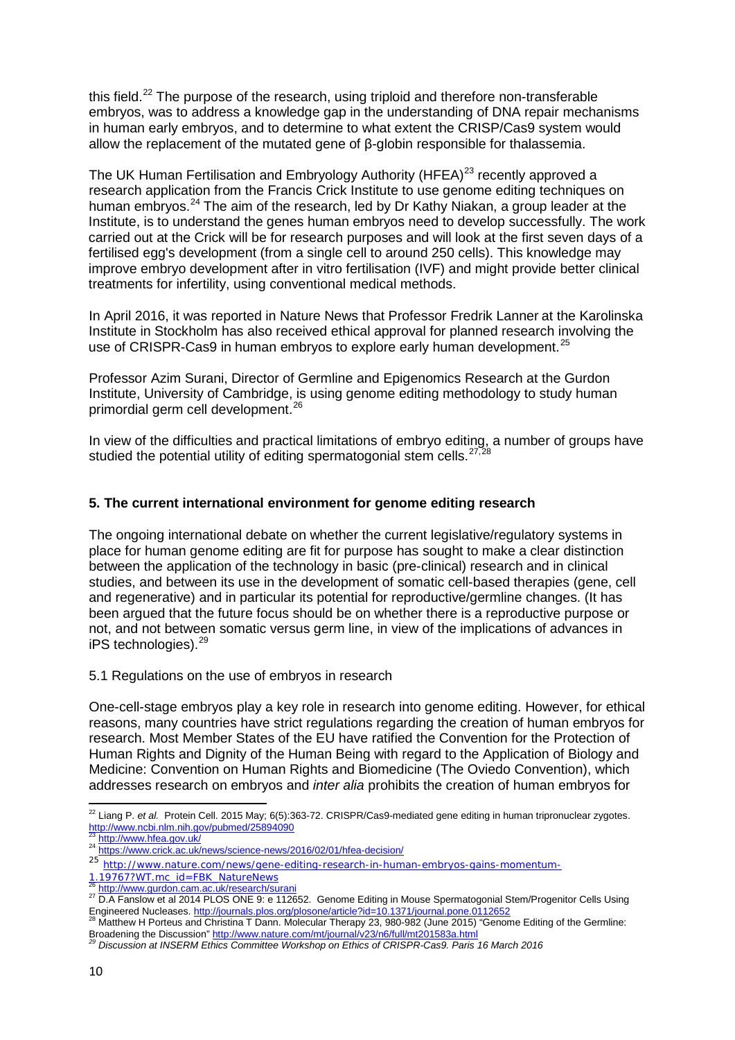this field.<sup>[22](#page-9-0)</sup> The purpose of the research, using triploid and therefore non-transferable embryos, was to address a knowledge gap in the understanding of DNA repair mechanisms in human early embryos, and to determine to what extent the CRISP/Cas9 system would allow the replacement of the mutated gene of β-globin responsible for thalassemia.

The UK Human Fertilisation and Embryology Authority (HFEA)<sup>[23](#page-9-1)</sup> recently approved a research application from the Francis Crick Institute to use genome editing techniques on human embryos.<sup>[24](#page-9-2)</sup> The aim of the research, led by Dr Kathy Niakan, a group leader at the Institute, is to understand the genes human embryos need to develop successfully. The work carried out at the Crick will be for research purposes and will look at the first seven days of a fertilised egg's development (from a single cell to around 250 cells). This knowledge may improve embryo development after in vitro fertilisation (IVF) and might provide better clinical treatments for infertility, using conventional medical methods.

In April 2016, it was reported in Nature News that Professor Fredrik Lanner at the Karolinska Institute in Stockholm has also received ethical approval for planned research involving the use of CRISPR-Cas9 in human embryos to explore early human development.<sup>[25](#page-9-3)</sup>

Professor Azim Surani, Director of Germline and Epigenomics Research at the Gurdon Institute, University of Cambridge, is using genome editing methodology to study human primordial germ cell development.[26](#page-9-4)

In view of the difficulties and practical limitations of embryo editing, a number of groups have studied the potential utility of editing spermatogonial stem cells.  $27,28$  $27,28$ 

# **5. The current international environment for genome editing research**

The ongoing international debate on whether the current legislative/regulatory systems in place for human genome editing are fit for purpose has sought to make a clear distinction between the application of the technology in basic (pre-clinical) research and in clinical studies, and between its use in the development of somatic cell-based therapies (gene, cell and regenerative) and in particular its potential for reproductive/germline changes. (It has been argued that the future focus should be on whether there is a reproductive purpose or not, and not between somatic versus germ line, in view of the implications of advances in iPS technologies). [29](#page-9-7)

## 5.1 Regulations on the use of embryos in research

One-cell-stage embryos play a key role in research into genome editing. However, for ethical reasons, many countries have strict regulations regarding the creation of human embryos for research. Most Member States of the EU have ratified the Convention for the Protection of Human Rights and Dignity of the Human Being with regard to the Application of Biology and Medicine: Convention on Human Rights and Biomedicine (The Oviedo Convention), which addresses research on embryos and *inter alia* prohibits the creation of human embryos for

<span id="page-9-0"></span>**<sup>.</sup>** <sup>22</sup> Liang P. *et al.* Protein Cell. 2015 May; 6(5):363-72. CRISPR/Cas9-mediated gene editing in human tripronuclear zygotes. <http://www.ncbi.nlm.nih.gov/pubmed/25894090><br><sup>23</sup> http://www.hfea.gov.uk/

<span id="page-9-2"></span><span id="page-9-1"></span><sup>24</sup> https://www.med.gov.uk/ 2016/02/01/<https://www.crick.ac.uk/news/science-news/2016/02/01/hfea-decision/>

<span id="page-9-3"></span><sup>25&</sup>lt;br>
http://www.nature.com/news/gene-editing-research-in-human-embryos-gains-momentum-<br>
1.19767?WT.mc\_id=FBK\_NatureNews<br>
<sup>26</sup> http://www.qurdon.cam.ac.uk/research/surani

<span id="page-9-5"></span><span id="page-9-4"></span><sup>&</sup>lt;sup>27</sup> D.A Fanslow et al 2014 PLOS ONE 9: e 112652. Genome Editing in Mouse Spermatogonial Stem/Progenitor Cells Using Engineered Nucleases.<http://journals.plos.org/plosone/article?id=10.1371/journal.pone.0112652><br><sup>28</sup> Matthew H Porteus and Christina T Dann. Molecular Therapy 23, 980-982 (June 2015) "Genome Editing of the Germline:

<span id="page-9-6"></span>Broadening the Discussion"<http://www.nature.com/mt/journal/v23/n6/full/mt201583a.html> *<sup>29</sup> Discussion at INSERM Ethics Committee Workshop on Ethics of CRISPR-Cas9. Paris 16 March 2016* 

<span id="page-9-7"></span>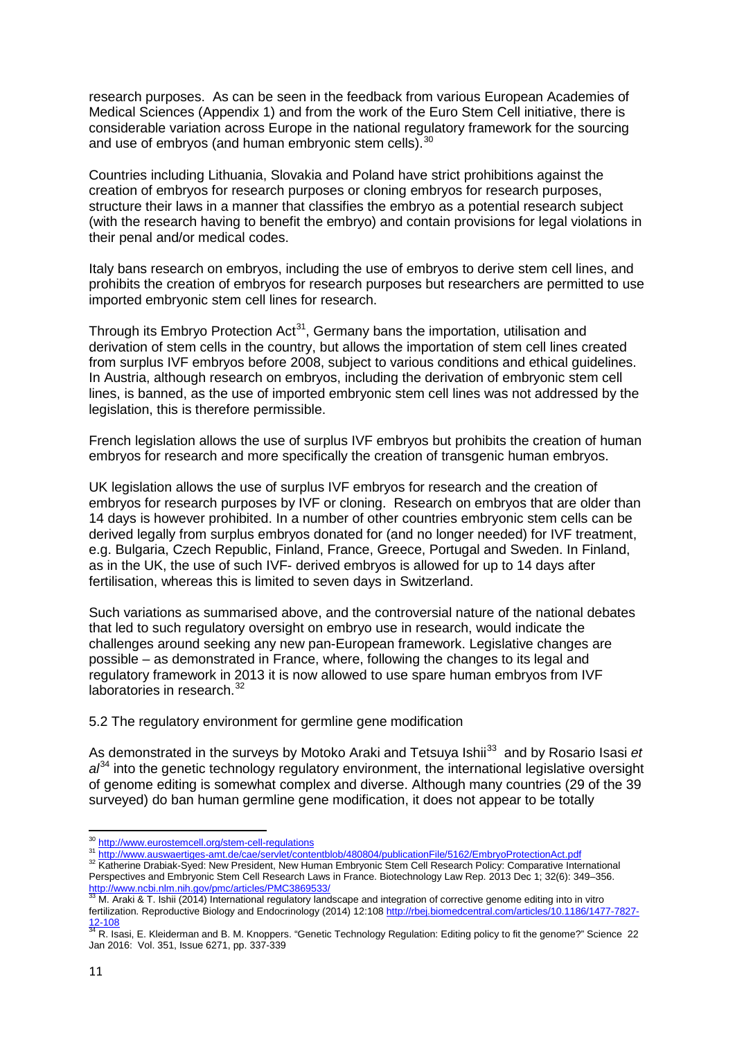research purposes. As can be seen in the feedback from various European Academies of Medical Sciences (Appendix 1) and from the work of the Euro Stem Cell initiative, there is considerable variation across Europe in the national regulatory framework for the sourcing and use of embryos (and human embryonic stem cells).<sup>[30](#page-10-0)</sup>

Countries including Lithuania, Slovakia and Poland have strict prohibitions against the creation of embryos for research purposes or cloning embryos for research purposes, structure their laws in a manner that classifies the embryo as a potential research subject (with the research having to benefit the embryo) and contain provisions for legal violations in their penal and/or medical codes.

Italy bans research on embryos, including the use of embryos to derive stem cell lines, and prohibits the creation of embryos for research purposes but researchers are permitted to use imported embryonic stem cell lines for research.

Through its Embryo Protection Act<sup>[31](#page-10-1)</sup>, Germany bans the importation, utilisation and derivation of stem cells in the country, but allows the importation of stem cell lines created from surplus IVF embryos before 2008, subject to various conditions and ethical guidelines. In Austria, although research on embryos, including the derivation of embryonic stem cell lines, is banned, as the use of imported embryonic stem cell lines was not addressed by the legislation, this is therefore permissible.

French legislation allows the use of surplus IVF embryos but prohibits the creation of human embryos for research and more specifically the creation of transgenic human embryos.

UK legislation allows the use of surplus IVF embryos for research and the creation of embryos for research purposes by IVF or cloning. Research on embryos that are older than 14 days is however prohibited. In a number of other countries embryonic stem cells can be derived legally from surplus embryos donated for (and no longer needed) for IVF treatment, e.g. Bulgaria, Czech Republic, Finland, France, Greece, Portugal and Sweden. In Finland, as in the UK, the use of such IVF- derived embryos is allowed for up to 14 days after fertilisation, whereas this is limited to seven days in Switzerland.

Such variations as summarised above, and the controversial nature of the national debates that led to such regulatory oversight on embryo use in research, would indicate the challenges around seeking any new pan-European framework. Legislative changes are possible – as demonstrated in France, where, following the changes to its legal and regulatory framework in 2013 it is now allowed to use spare human embryos from IVF laboratories in research.<sup>[32](#page-10-2)</sup>

5.2 The regulatory environment for germline gene modification

As demonstrated in the surveys by Motoko Araki and Tetsuya Ishii [33](#page-10-3) and by Rosario Isasi *et*  a<sup> $\beta$ 4</sup> into the genetic technology regulatory environment, the international legislative oversight of genome editing is somewhat complex and diverse. Although many countries (29 of the 39 surveyed) do ban human germline gene modification, it does not appear to be totally

<span id="page-10-2"></span><span id="page-10-1"></span>

<span id="page-10-0"></span><sup>&</sup>lt;u>-somethiclogy</u><br><sup>30</sup> <http://www.eurostemcell.org/stem-cell-regulations><br><sup>31</sup> <http://www.auswaertiges-amt.de/cae/servlet/contentblob/480804/publicationFile/5162/EmbryoProtectionAct.pdf><br><sup>32</sup> Katherine Drabiak-Syed: New Presid Perspectives and Embryonic Stem Cell Research Laws in France. Biotechnology Law Rep. 2013 Dec 1; 32(6): 349–356.

<span id="page-10-3"></span><sup>&</sup>lt;u><http://www.ncbi.nlm.nih.gov/pmc/articles/PMC3869533/></u><br><sup>33</sup> M. Araki & T. Ishii (2014) International regulatory landscape and integration of corrective genome editing into in vitro fertilization. Reproductive Biology and Endocrinology (2014) 12:108 [http://rbej.biomedcentral.com/articles/10.1186/1477-7827-](http://rbej.biomedcentral.com/articles/10.1186/1477-7827-12-108) [12-108](http://rbej.biomedcentral.com/articles/10.1186/1477-7827-12-108)<br><sup>34</sup> R. Isasi, E. Kleiderman and B. M. Knoppers. "Genetic Technology Regulation: Editing policy to fit the genome?" Science 22

<span id="page-10-4"></span>Jan 2016: Vol. 351, Issue 6271, pp. 337-339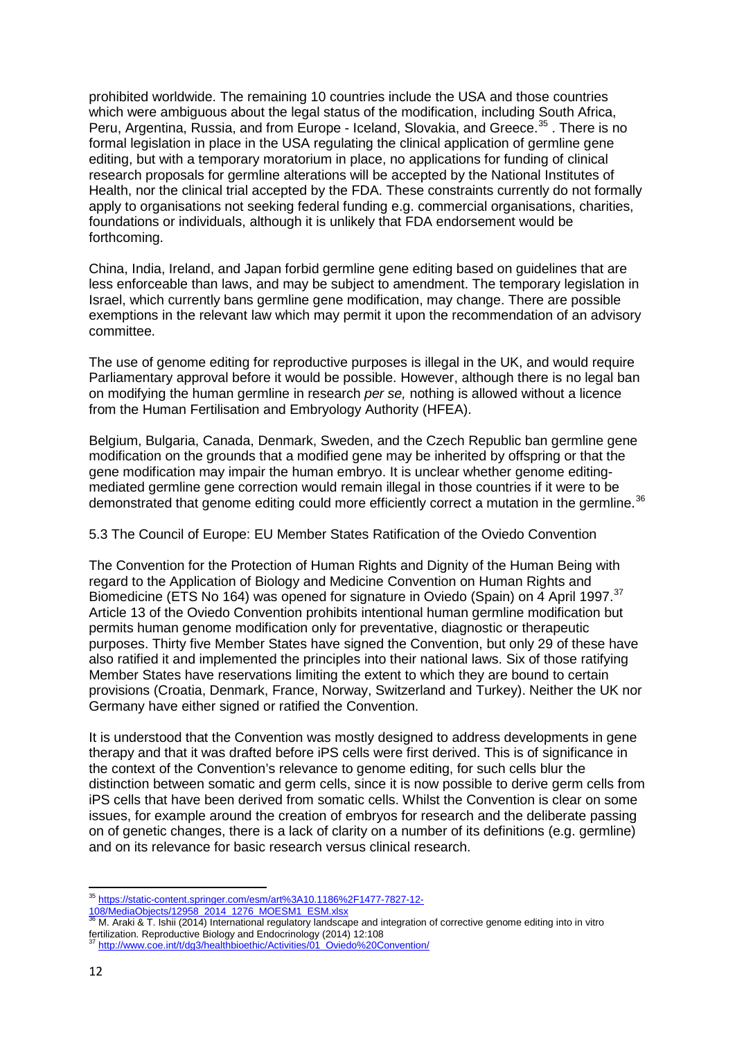prohibited worldwide. The remaining 10 countries include the USA and those countries which were ambiguous about the legal status of the modification, including South Africa, Peru, Argentina, Russia, and from Europe - Iceland, Slovakia, and Greece.<sup>[35](#page-11-0)</sup>. There is no formal legislation in place in the USA regulating the clinical application of germline gene editing, but with a temporary moratorium in place, no applications for funding of clinical research proposals for germline alterations will be accepted by the National Institutes of Health, nor the clinical trial accepted by the FDA. These constraints currently do not formally apply to organisations not seeking federal funding e.g. commercial organisations, charities, foundations or individuals, although it is unlikely that FDA endorsement would be forthcoming.

China, India, Ireland, and Japan forbid germline gene editing based on guidelines that are less enforceable than laws, and may be subject to amendment. The temporary legislation in Israel, which currently bans germline gene modification, may change. There are possible exemptions in the relevant law which may permit it upon the recommendation of an advisory committee.

The use of genome editing for reproductive purposes is illegal in the UK, and would require Parliamentary approval before it would be possible. However, although there is no legal ban on modifying the human germline in research *per se,* nothing is allowed without a licence from the Human Fertilisation and Embryology Authority (HFEA).

Belgium, Bulgaria, Canada, Denmark, Sweden, and the Czech Republic ban germline gene modification on the grounds that a modified gene may be inherited by offspring or that the gene modification may impair the human embryo. It is unclear whether genome editingmediated germline gene correction would remain illegal in those countries if it were to be demonstrated that genome editing could more efficiently correct a mutation in the germline.<sup>[36](#page-11-1)</sup>

5.3 The Council of Europe: EU Member States Ratification of the Oviedo Convention

The Convention for the Protection of Human Rights and Dignity of the Human Being with regard to the Application of Biology and Medicine Convention on Human Rights and Biomedicine (ETS No 164) was opened for signature in Oviedo (Spain) on 4 April 1997.<sup>[37](#page-11-2)</sup> Article 13 of the Oviedo Convention prohibits intentional human germline modification but permits human genome modification only for preventative, diagnostic or therapeutic purposes. Thirty five Member States have signed the Convention, but only 29 of these have also ratified it and implemented the principles into their national laws. Six of those ratifying Member States have reservations limiting the extent to which they are bound to certain provisions (Croatia, Denmark, France, Norway, Switzerland and Turkey). Neither the UK nor Germany have either signed or ratified the Convention.

It is understood that the Convention was mostly designed to address developments in gene therapy and that it was drafted before iPS cells were first derived. This is of significance in the context of the Convention's relevance to genome editing, for such cells blur the distinction between somatic and germ cells, since it is now possible to derive germ cells from iPS cells that have been derived from somatic cells. Whilst the Convention is clear on some issues, for example around the creation of embryos for research and the deliberate passing on of genetic changes, there is a lack of clarity on a number of its definitions (e.g. germline) and on its relevance for basic research versus clinical research.

35 [https://static-content.springer.com/esm/art%3A10.1186%2F1477-7827-12-](https://static-content.springer.com/esm/art%3A10.1186%2F1477-7827-12-108/MediaObjects/12958_2014_1276_MOESM1_ESM.xlsx)

<span id="page-11-0"></span>[<sup>108/</sup>MediaObjects/12958\\_2014\\_1276\\_MOESM1\\_ESM.xlsx](https://static-content.springer.com/esm/art%3A10.1186%2F1477-7827-12-108/MediaObjects/12958_2014_1276_MOESM1_ESM.xlsx)

<span id="page-11-1"></span><sup>36</sup> M. Araki & T. Ishii (2014) International regulatory landscape and integration of corrective genome editing into in vitro fertilization. Reproductive Biology and Endocrinology (2014) 12:108 <sup>37</sup> [http://www.coe.int/t/dg3/healthbioethic/Activities/01\\_Oviedo%20Convention/](http://www.coe.int/t/dg3/healthbioethic/Activities/01_Oviedo%20Convention/)

<span id="page-11-2"></span>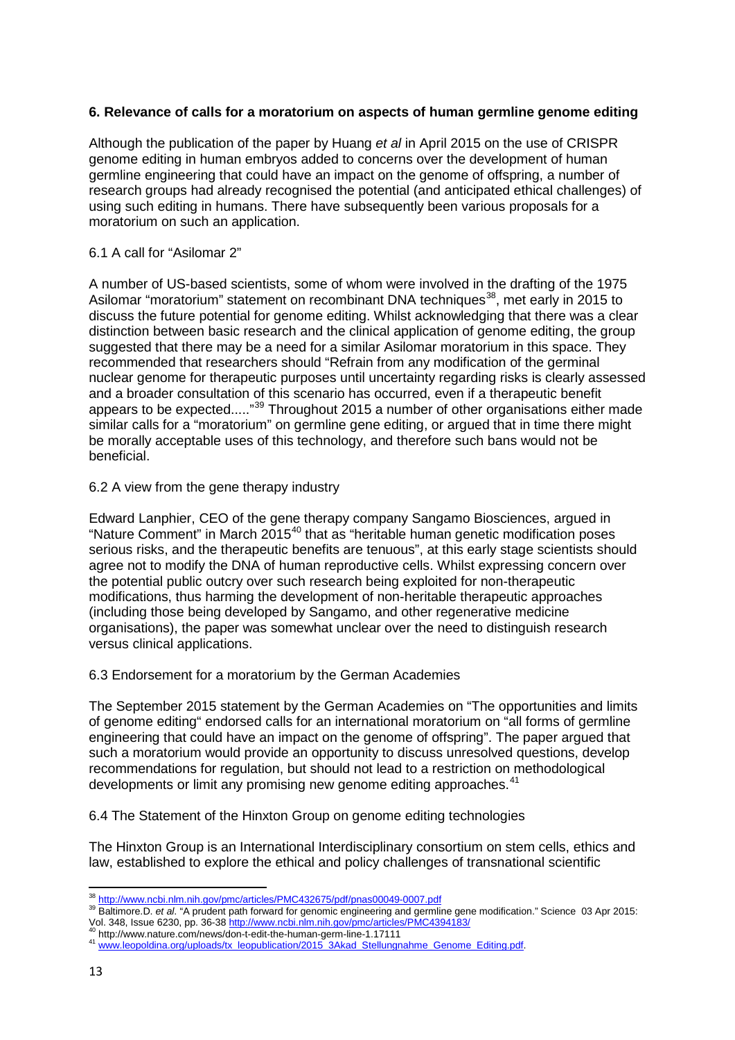## **6. Relevance of calls for a moratorium on aspects of human germline genome editing**

Although the publication of the paper by Huang *et al* in April 2015 on the use of CRISPR genome editing in human embryos added to concerns over the development of human germline engineering that could have an impact on the genome of offspring, a number of research groups had already recognised the potential (and anticipated ethical challenges) of using such editing in humans. There have subsequently been various proposals for a moratorium on such an application.

## 6.1 A call for "Asilomar 2"

A number of US-based scientists, some of whom were involved in the drafting of the 1975 Asilomar "moratorium" statement on recombinant DNA techniques<sup>38</sup>, met early in 2015 to discuss the future potential for genome editing. Whilst acknowledging that there was a clear distinction between basic research and the clinical application of genome editing, the group suggested that there may be a need for a similar Asilomar moratorium in this space. They recommended that researchers should "Refrain from any modification of the germinal nuclear genome for therapeutic purposes until uncertainty regarding risks is clearly assessed and a broader consultation of this scenario has occurred, even if a therapeutic benefit appears to be expected....."<sup>[39](#page-12-1)</sup> Throughout 2015 a number of other organisations either made similar calls for a "moratorium" on germline gene editing, or argued that in time there might be morally acceptable uses of this technology, and therefore such bans would not be beneficial.

### 6.2 A view from the gene therapy industry

Edward Lanphier, CEO of the gene therapy company Sangamo Biosciences, argued in "Nature Comment" in March 2015<sup>[40](#page-12-2)</sup> that as "heritable human genetic modification poses serious risks, and the therapeutic benefits are tenuous", at this early stage scientists should agree not to modify the DNA of human reproductive cells. Whilst expressing concern over the potential public outcry over such research being exploited for non-therapeutic modifications, thus harming the development of non-heritable therapeutic approaches (including those being developed by Sangamo, and other regenerative medicine organisations), the paper was somewhat unclear over the need to distinguish research versus clinical applications.

## 6.3 Endorsement for a moratorium by the German Academies

The September 2015 statement by the German Academies on "The opportunities and limits of genome editing" endorsed calls for an international moratorium on "all forms of germline engineering that could have an impact on the genome of offspring". The paper argued that such a moratorium would provide an opportunity to discuss unresolved questions, develop recommendations for regulation, but should not lead to a restriction on methodological developments or limit any promising new genome editing approaches.<sup>[41](#page-12-3)</sup>

6.4 The Statement of the Hinxton Group on genome editing technologies

The Hinxton Group is an International Interdisciplinary consortium on stem cells, ethics and law, established to explore the ethical and policy challenges of transnational scientific

<span id="page-12-0"></span><sup>&</sup>lt;sup>38</sup> http://www.ncbi.nlm.nih.gov/pmc/articles/PMC432675/pdf/pnas00049-0007.pdf

<span id="page-12-1"></span><sup>&</sup>lt;sup>39</sup> Baltimore.D. et al. "A prudent path forward for genomic engineering and germline gene modification." Science 03 Apr 2015: Vol. 348, Issue 6230, pp. 36-3[8 http://www.ncbi.nlm.nih.gov/pmc/articles/PMC4394183/](http://www.ncbi.nlm.nih.gov/pmc/articles/PMC4394183/)<br>
<sup>40</sup> http://www.nature.com/news/don-t-edit-the-human-germ-line-1.17111<br>
<sup>41</sup> www.leopoldina.org/uploads<u>/tx\_leopublication/2015\_3Akad\_St</u>

<span id="page-12-3"></span><span id="page-12-2"></span>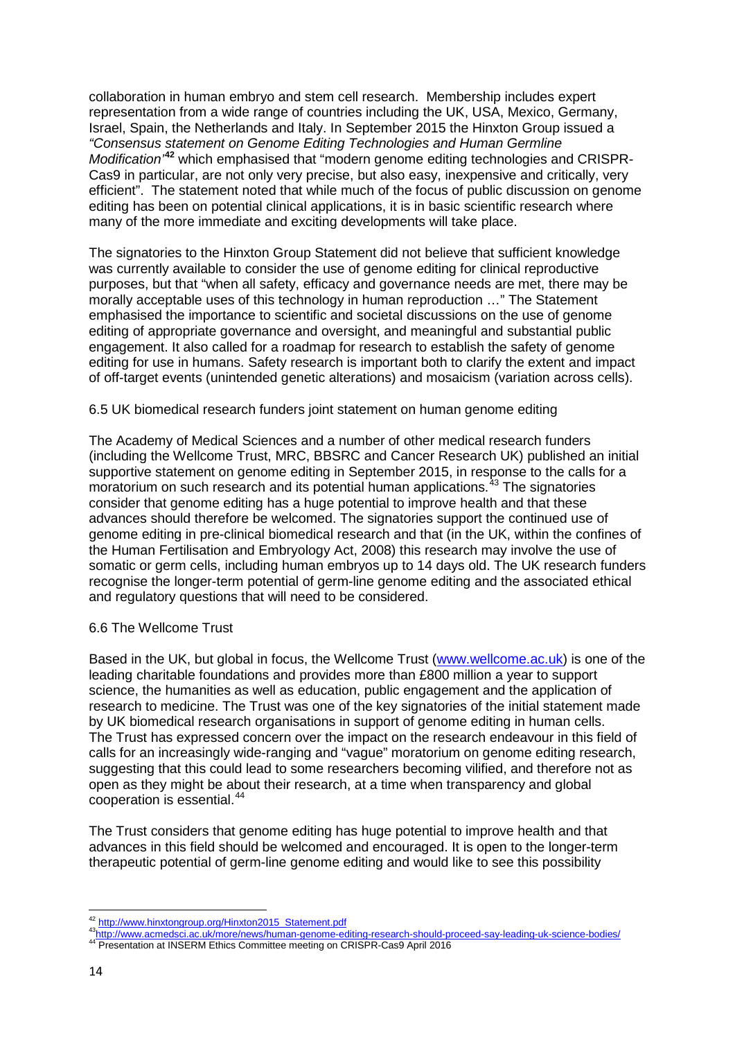collaboration in human embryo and stem cell research. Membership includes expert representation from a wide range of countries including the UK, USA, Mexico, Germany, Israel, Spain, the Netherlands and Italy. In September 2015 the Hinxton Group issued a *"Consensus statement on Genome Editing Technologies and Human Germline Modification'***[42](#page-13-0)** which emphasised that "modern genome editing technologies and CRISPR-Cas9 in particular, are not only very precise, but also easy, inexpensive and critically, very efficient". The statement noted that while much of the focus of public discussion on genome editing has been on potential clinical applications, it is in basic scientific research where many of the more immediate and exciting developments will take place.

The signatories to the Hinxton Group Statement did not believe that sufficient knowledge was currently available to consider the use of genome editing for clinical reproductive purposes, but that "when all safety, efficacy and governance needs are met, there may be morally acceptable uses of this technology in human reproduction …" The Statement emphasised the importance to scientific and societal discussions on the use of genome editing of appropriate governance and oversight, and meaningful and substantial public engagement. It also called for a roadmap for research to establish the safety of genome editing for use in humans. Safety research is important both to clarify the extent and impact of off-target events (unintended genetic alterations) and mosaicism (variation across cells).

## 6.5 UK biomedical research funders joint statement on human genome editing

The Academy of Medical Sciences and a number of other medical research funders (including the Wellcome Trust, MRC, BBSRC and Cancer Research UK) published an initial supportive statement on genome editing in September 2015, in response to the calls for a moratorium on such research and its potential human applications. [43](#page-13-1) The signatories consider that genome editing has a huge potential to improve health and that these advances should therefore be welcomed. The signatories support the continued use of genome editing in pre-clinical biomedical research and that (in the UK, within the confines of the Human Fertilisation and Embryology Act, 2008) this research may involve the use of somatic or germ cells, including human embryos up to 14 days old. The UK research funders recognise the longer-term potential of germ-line genome editing and the associated ethical and regulatory questions that will need to be considered.

#### 6.6 The Wellcome Trust

Based in the UK, but global in focus, the Wellcome Trust ([www.wellcome.ac.uk\)](http://www.wellcome.ac.uk/) is one of the leading charitable foundations and provides more than £800 million a year to support science, the humanities as well as education, public engagement and the application of research to medicine. The Trust was one of the key signatories of the initial statement made by UK biomedical research organisations in support of genome editing in human cells. The Trust has expressed concern over the impact on the research endeavour in this field of calls for an increasingly wide-ranging and "vague" moratorium on genome editing research, suggesting that this could lead to some researchers becoming vilified, and therefore not as open as they might be about their research, at a time when transparency and global cooperation is essential.<sup>[44](#page-13-2)</sup>

The Trust considers that genome editing has huge potential to improve health and that advances in this field should be welcomed and encouraged. It is open to the longer-term therapeutic potential of germ-line genome editing and would like to see this possibility

<sup>&</sup>lt;sup>42</sup> http://www.hinxtongroup.org/Hinxton2015\_Statement.pdf

<span id="page-13-2"></span><span id="page-13-1"></span><span id="page-13-0"></span>[<sup>43</sup>http://www.acmedsci.ac.uk/more/news/human-genome-editing-research-should-proceed-say-leading-uk-science-bodies/](http://www.acmedsci.ac.uk/more/news/human-genome-editing-research-should-proceed-say-leading-uk-science-bodies/)<br>44 Presentation at INSERM Ethics Committee meeting on CRISPR-Cas9 April 2016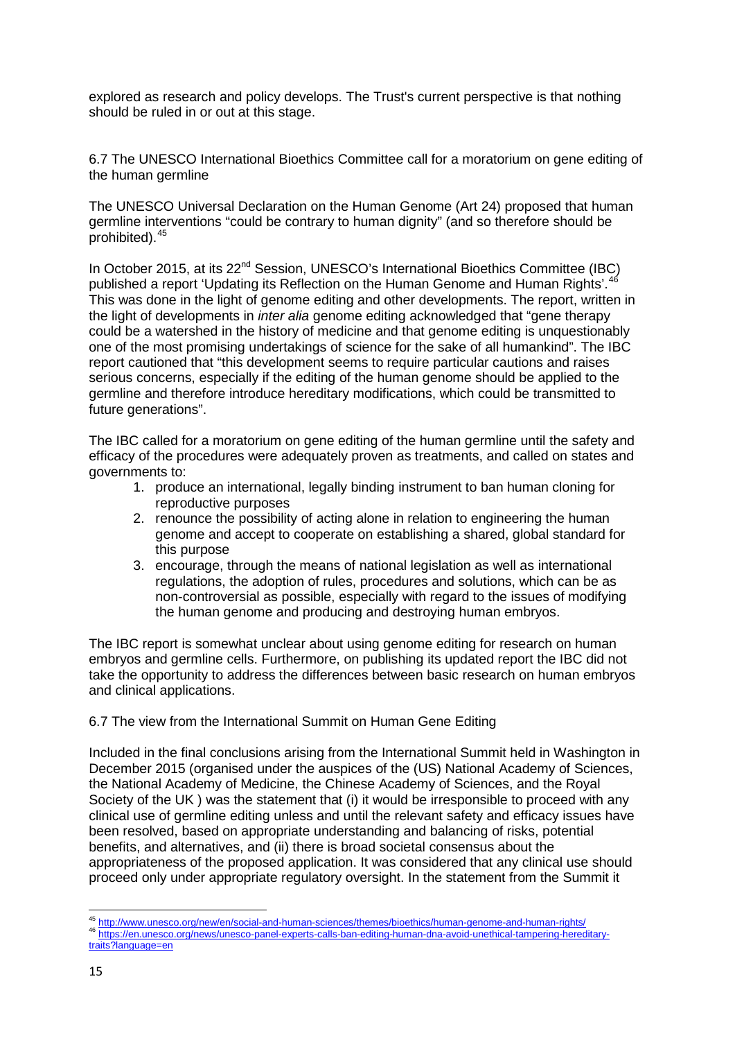explored as research and policy develops. The Trust's current perspective is that nothing should be ruled in or out at this stage.

6.7 The UNESCO International Bioethics Committee call for a moratorium on gene editing of the human germline

The UNESCO Universal Declaration on the Human Genome (Art 24) proposed that human germline interventions "could be contrary to human dignity" (and so therefore should be prohibited).[45](#page-14-0)

In October 2015, at its 22<sup>nd</sup> Session, UNESCO's International Bioethics Committee (IBC) published a report 'Updating its Reflection on the Human Genome and Human Rights'.<sup>[46](#page-14-1)</sup> This was done in the light of genome editing and other developments. The report, written in the light of developments in *inter alia* genome editing acknowledged that "gene therapy could be a watershed in the history of medicine and that genome editing is unquestionably one of the most promising undertakings of science for the sake of all humankind". The IBC report cautioned that "this development seems to require particular cautions and raises serious concerns, especially if the editing of the human genome should be applied to the germline and therefore introduce hereditary modifications, which could be transmitted to future generations".

The IBC called for a moratorium on gene editing of the human germline until the safety and efficacy of the procedures were adequately proven as treatments, and called on states and governments to:

- 1. produce an international, legally binding instrument to ban human cloning for reproductive purposes
- 2. renounce the possibility of acting alone in relation to engineering the human genome and accept to cooperate on establishing a shared, global standard for this purpose
- 3. encourage, through the means of national legislation as well as international regulations, the adoption of rules, procedures and solutions, which can be as non-controversial as possible, especially with regard to the issues of modifying the human genome and producing and destroying human embryos.

The IBC report is somewhat unclear about using genome editing for research on human embryos and germline cells. Furthermore, on publishing its updated report the IBC did not take the opportunity to address the differences between basic research on human embryos and clinical applications.

6.7 The view from the International Summit on Human Gene Editing

Included in the final conclusions arising from the International Summit held in Washington in December 2015 (organised under the auspices of the (US) National Academy of Sciences, the National Academy of Medicine, the Chinese Academy of Sciences, and the Royal Society of the UK ) was the statement that (i) it would be irresponsible to proceed with any clinical use of germline editing unless and until the relevant safety and efficacy issues have been resolved, based on appropriate understanding and balancing of risks, potential benefits, and alternatives, and (ii) there is broad societal consensus about the appropriateness of the proposed application. It was considered that any clinical use should proceed only under appropriate regulatory oversight. In the statement from the Summit it

<span id="page-14-0"></span><sup>45</sup> http://www.unesco.org/new/en/social-and-human-sciences/themes/bioethics/human-genome-and-human-rights/ 46 [https://en.unesco.org/news/unesco-panel-experts-calls-ban-editing-human-dna-avoid-unethical-tampering-hereditary-](https://en.unesco.org/news/unesco-panel-experts-calls-ban-editing-human-dna-avoid-unethical-tampering-hereditary-traits?language=en)

<span id="page-14-1"></span>[traits?language=en](https://en.unesco.org/news/unesco-panel-experts-calls-ban-editing-human-dna-avoid-unethical-tampering-hereditary-traits?language=en)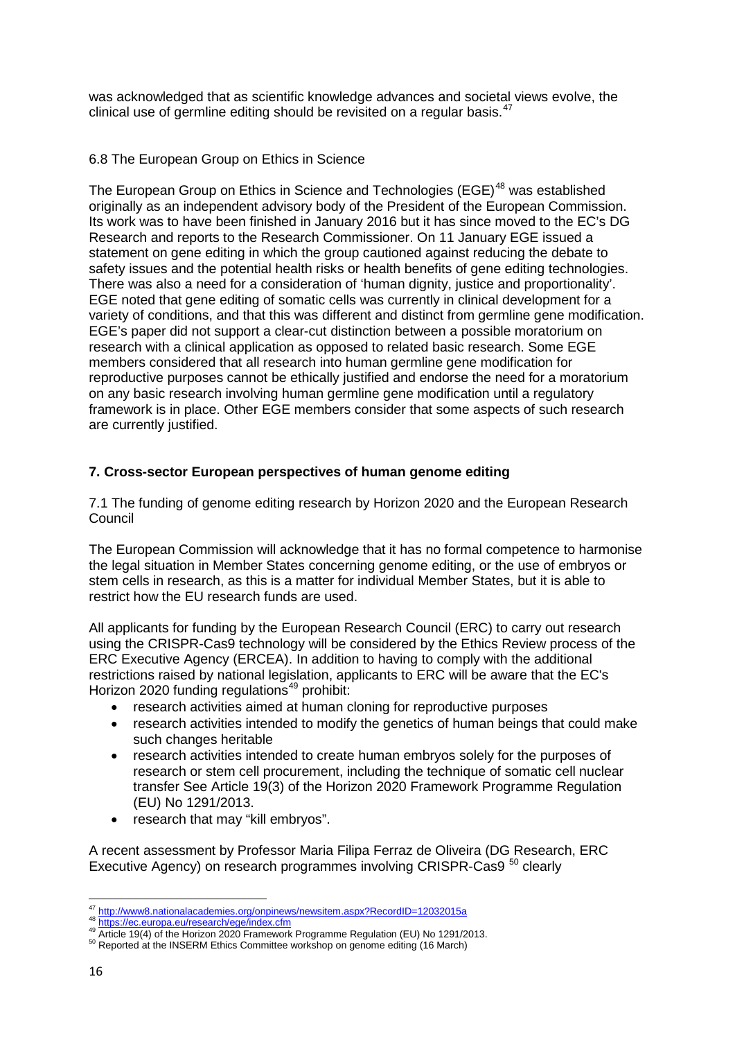was acknowledged that as scientific knowledge advances and societal views evolve, the clinical use of germline editing should be revisited on a regular basis.<sup>[47](#page-15-0)</sup>

## 6.8 The European Group on Ethics in Science

The European Group on Ethics in Science and Technologies (EGE)<sup>[48](#page-15-1)</sup> was established originally as an independent advisory body of the President of the European Commission. Its work was to have been finished in January 2016 but it has since moved to the EC's DG Research and reports to the Research Commissioner. On 11 January EGE issued a statement on gene editing in which the group cautioned against reducing the debate to safety issues and the potential health risks or health benefits of gene editing technologies. There was also a need for a consideration of 'human dignity, justice and proportionality'. EGE noted that gene editing of somatic cells was currently in clinical development for a variety of conditions, and that this was different and distinct from germline gene modification. EGE's paper did not support a clear-cut distinction between a possible moratorium on research with a clinical application as opposed to related basic research. Some EGE members considered that all research into human germline gene modification for reproductive purposes cannot be ethically justified and endorse the need for a moratorium on any basic research involving human germline gene modification until a regulatory framework is in place. Other EGE members consider that some aspects of such research are currently justified.

# **7. Cross-sector European perspectives of human genome editing**

7.1 The funding of genome editing research by Horizon 2020 and the European Research Council

The European Commission will acknowledge that it has no formal competence to harmonise the legal situation in Member States concerning genome editing, or the use of embryos or stem cells in research, as this is a matter for individual Member States, but it is able to restrict how the EU research funds are used.

All applicants for funding by the European Research Council (ERC) to carry out research using the CRISPR-Cas9 technology will be considered by the Ethics Review process of the ERC Executive Agency (ERCEA). In addition to having to comply with the additional restrictions raised by national legislation, applicants to ERC will be aware that the EC's Horizon 2020 funding regulations<sup>[49](#page-15-2)</sup> prohibit:

- research activities aimed at human cloning for reproductive purposes
- research activities intended to modify the genetics of human beings that could make such changes heritable
- research activities intended to create human embryos solely for the purposes of research or stem cell procurement, including the technique of somatic cell nuclear transfer See Article 19(3) of the Horizon 2020 Framework Programme Regulation (EU) No 1291/2013.
- research that may "kill embryos".

A recent assessment by Professor Maria Filipa Ferraz de Oliveira (DG Research, ERC Executive Agency) on research programmes involving CRISPR-Cas9<sup>[50](#page-15-3)</sup> clearly

 $\frac{1}{47}$ 

<span id="page-15-2"></span><span id="page-15-1"></span><span id="page-15-0"></span><sup>48</sup> <https://ec.europa.eu/research/ege/index.cfm><br>49 Article 19(4) of the Horizon 2020 Framework Programme Regulation (EU) No 1291/2013.<br><sup>50</sup> Reported at the INSERM Ethics Committee workshop on genome editing (16 March)

<span id="page-15-3"></span>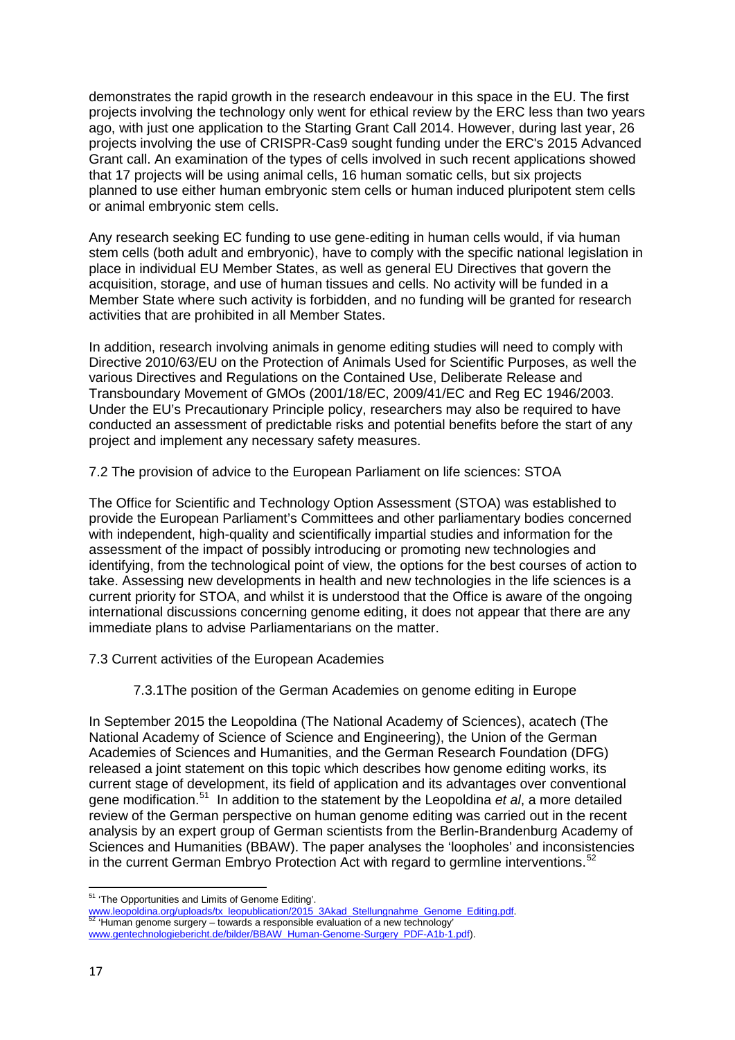demonstrates the rapid growth in the research endeavour in this space in the EU. The first projects involving the technology only went for ethical review by the ERC less than two years ago, with just one application to the Starting Grant Call 2014. However, during last year, 26 projects involving the use of CRISPR-Cas9 sought funding under the ERC's 2015 Advanced Grant call. An examination of the types of cells involved in such recent applications showed that 17 projects will be using animal cells, 16 human somatic cells, but six projects planned to use either human embryonic stem cells or human induced pluripotent stem cells or animal embryonic stem cells.

Any research seeking EC funding to use gene-editing in human cells would, if via human stem cells (both adult and embryonic), have to comply with the specific national legislation in place in individual EU Member States, as well as general EU Directives that govern the acquisition, storage, and use of human tissues and cells. No activity will be funded in a Member State where such activity is forbidden, and no funding will be granted for research activities that are prohibited in all Member States.

In addition, research involving animals in genome editing studies will need to comply with Directive 2010/63/EU on the Protection of Animals Used for Scientific Purposes, as well the various Directives and Regulations on the Contained Use, Deliberate Release and Transboundary Movement of GMOs (2001/18/EC, 2009/41/EC and Reg EC 1946/2003. Under the EU's Precautionary Principle policy, researchers may also be required to have conducted an assessment of predictable risks and potential benefits before the start of any project and implement any necessary safety measures.

7.2 The provision of advice to the European Parliament on life sciences: STOA

The Office for Scientific and Technology Option Assessment (STOA) was established to provide the European Parliament's Committees and other parliamentary bodies concerned with independent, high-quality and scientifically impartial studies and information for the assessment of the impact of possibly introducing or promoting new technologies and identifying, from the technological point of view, the options for the best courses of action to take. Assessing new developments in health and new technologies in the life sciences is a current priority for STOA, and whilst it is understood that the Office is aware of the ongoing international discussions concerning genome editing, it does not appear that there are any immediate plans to advise Parliamentarians on the matter.

7.3 Current activities of the European Academies

7.3.1The position of the German Academies on genome editing in Europe

In September 2015 the Leopoldina (The National Academy of Sciences), acatech (The National Academy of Science of Science and Engineering), the Union of the German Academies of Sciences and Humanities, and the German Research Foundation (DFG) released a joint statement on this topic which describes how genome editing works, its current stage of development, its field of application and its advantages over conventional gene modification.[51](#page-16-0) In addition to the statement by the Leopoldina *et al*, a more detailed review of the German perspective on human genome editing was carried out in the recent analysis by an expert group of German scientists from the Berlin-Brandenburg Academy of Sciences and Humanities (BBAW). The paper analyses the 'loopholes' and inconsistencies in the current German Embryo Protection Act with regard to germline interventions.<sup>[52](#page-16-1)</sup>

 $\overline{a}$ 

<sup>&</sup>lt;sup>51</sup> 'The Opportunities and Limits of Genome Editing'.

<span id="page-16-1"></span><span id="page-16-0"></span>[www.leopoldina.org/uploads/tx\\_leopublication/2015\\_3Akad\\_Stellungnahme\\_Genome\\_Editing.pdf.](http://www.leopoldina.org/uploads/tx_leopublication/2015_3Akad_Stellungnahme_Genome_Editing.pdf) [52](http://www.leopoldina.org/uploads/tx_leopublication/2015_3Akad_Stellungnahme_Genome_Editing.pdf) 'Human genome surgery – towards a responsible evaluation of a new technology' [www.gentechnologiebericht.de/bilder/BBAW\\_Human-Genome-Surgery\\_PDF-A1b-1.pdf\)](http://www.gentechnologiebericht.de/bilder/BBAW_Human-Genome-Surgery_PDF-A1b-1.pdf).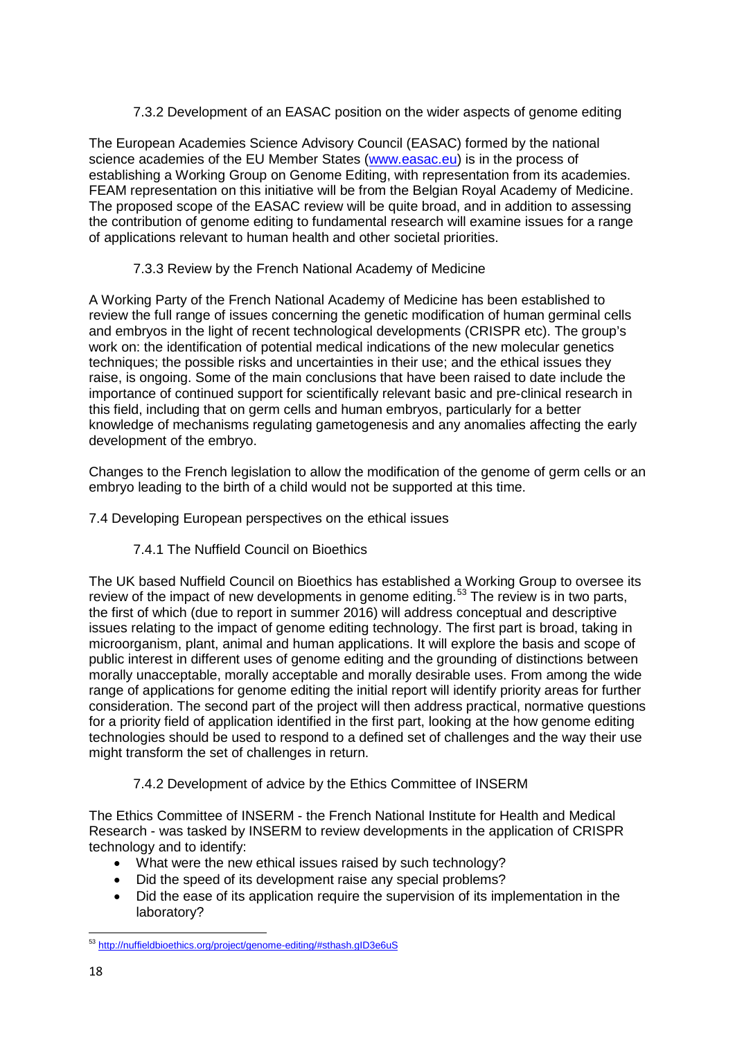# 7.3.2 Development of an EASAC position on the wider aspects of genome editing

The European Academies Science Advisory Council (EASAC) formed by the national science academies of the EU Member States [\(www.easac.eu\)](http://www.easac.eu/) is in the process of establishing a Working Group on Genome Editing, with representation from its academies. FEAM representation on this initiative will be from the Belgian Royal Academy of Medicine. The proposed scope of the EASAC review will be quite broad, and in addition to assessing the contribution of genome editing to fundamental research will examine issues for a range of applications relevant to human health and other societal priorities.

# 7.3.3 Review by the French National Academy of Medicine

A Working Party of the French National Academy of Medicine has been established to review the full range of issues concerning the genetic modification of human germinal cells and embryos in the light of recent technological developments (CRISPR etc). The group's work on: the identification of potential medical indications of the new molecular genetics techniques; the possible risks and uncertainties in their use; and the ethical issues they raise, is ongoing. Some of the main conclusions that have been raised to date include the importance of continued support for scientifically relevant basic and pre-clinical research in this field, including that on germ cells and human embryos, particularly for a better knowledge of mechanisms regulating gametogenesis and any anomalies affecting the early development of the embryo.

Changes to the French legislation to allow the modification of the genome of germ cells or an embryo leading to the birth of a child would not be supported at this time.

# 7.4 Developing European perspectives on the ethical issues

# 7.4.1 The Nuffield Council on Bioethics

The UK based Nuffield Council on Bioethics has established a Working Group to oversee its review of the impact of new developments in genome editing.<sup>[53](#page-17-0)</sup> The review is in two parts, the first of which (due to report in summer 2016) will address conceptual and descriptive issues relating to the impact of genome editing technology. The first part is broad, taking in microorganism, plant, animal and human applications. It will explore the basis and scope of public interest in different uses of genome editing and the grounding of distinctions between morally unacceptable, morally acceptable and morally desirable uses. From among the wide range of applications for genome editing the initial report will identify priority areas for further consideration. The second part of the project will then address practical, normative questions for a priority field of application identified in the first part, looking at the how genome editing technologies should be used to respond to a defined set of challenges and the way their use might transform the set of challenges in return.

# 7.4.2 Development of advice by the Ethics Committee of INSERM

The Ethics Committee of INSERM - the French National Institute for Health and Medical Research - was tasked by INSERM to review developments in the application of CRISPR technology and to identify:

- What were the new ethical issues raised by such technology?
- Did the speed of its development raise any special problems?
- Did the ease of its application require the supervision of its implementation in the laboratory?

<span id="page-17-0"></span> $\overline{a}$ <sup>53</sup> <http://nuffieldbioethics.org/project/genome-editing/#sthash.gID3e6uS>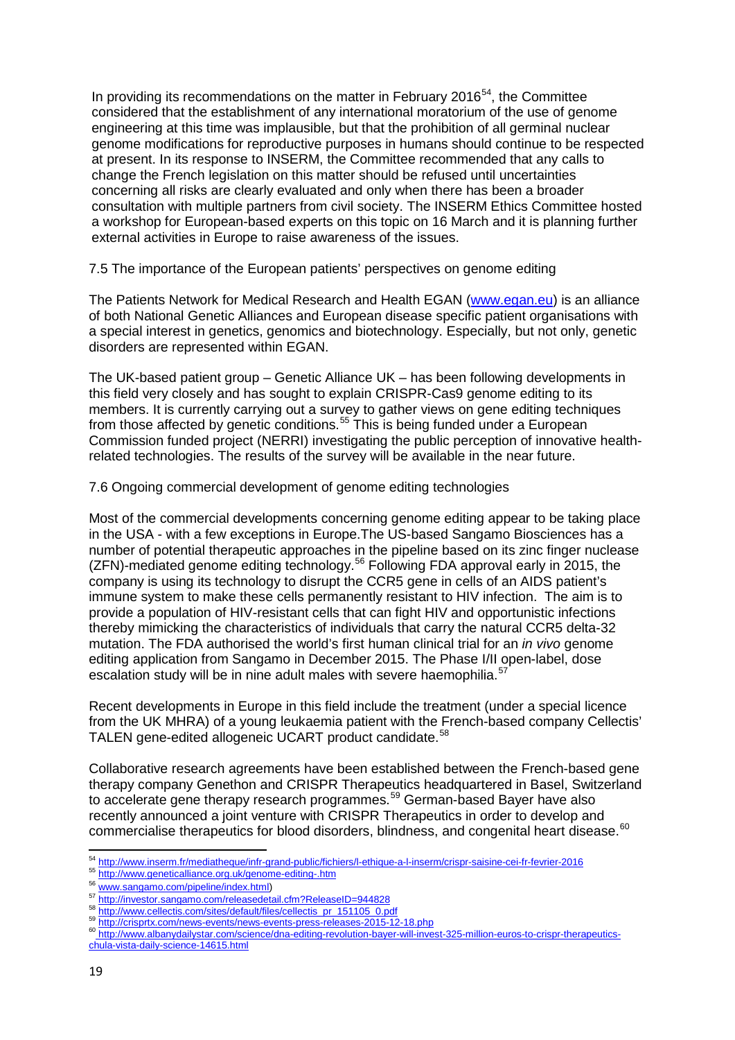In providing its recommendations on the matter in February 2016<sup>[54](#page-18-0)</sup>, the Committee considered that the establishment of any international moratorium of the use of genome engineering at this time was implausible, but that the prohibition of all germinal nuclear genome modifications for reproductive purposes in humans should continue to be respected at present. In its response to INSERM, the Committee recommended that any calls to change the French legislation on this matter should be refused until uncertainties concerning all risks are clearly evaluated and only when there has been a broader consultation with multiple partners from civil society. The INSERM Ethics Committee hosted a workshop for European-based experts on this topic on 16 March and it is planning further external activities in Europe to raise awareness of the issues.

7.5 The importance of the European patients' perspectives on genome editing

The Patients Network for Medical Research and Health EGAN ([www.egan.eu\)](http://www.egan.eu/) is an alliance of both National Genetic Alliances and European disease specific patient organisations with a special interest in genetics, genomics and biotechnology. Especially, but not only, genetic disorders are represented within EGAN.

The UK-based patient group – Genetic Alliance UK – has been following developments in this field very closely and has sought to explain CRISPR-Cas9 genome editing to its members. It is currently carrying out a survey to gather views on gene editing techniques from those affected by genetic conditions.<sup>[55](#page-18-1)</sup> This is being funded under a European Commission funded project (NERRI) investigating the public perception of innovative healthrelated technologies. The results of the survey will be available in the near future.

7.6 Ongoing commercial development of genome editing technologies

Most of the commercial developments concerning genome editing appear to be taking place in the USA - with a few exceptions in Europe.The US-based Sangamo Biosciences has a number of potential therapeutic approaches in the pipeline based on its zinc finger nuclease (ZFN)-mediated genome editing technology.<sup>[56](#page-18-2)</sup> Following FDA approval early in 2015, the company is using its technology to disrupt the CCR5 gene in cells of an AIDS patient's immune system to make these cells permanently resistant to HIV infection. The aim is to provide a population of HIV-resistant cells that can fight HIV and opportunistic infections thereby mimicking the characteristics of individuals that carry the natural CCR5 delta-32 mutation. The FDA authorised the world's first human clinical trial for an *in vivo* genome editing application from Sangamo in December 2015. The Phase I/II open-label, dose escalation study will be in nine adult males with severe haemophilia.<sup>5</sup>

Recent developments in Europe in this field include the treatment (under a special licence from the UK MHRA) of a young leukaemia patient with the French-based company Cellectis' TALEN gene-edited allogeneic UCART product candidate.<sup>[58](#page-18-4)</sup>

Collaborative research agreements have been established between the French-based gene therapy company Genethon and CRISPR Therapeutics headquartered in Basel, Switzerland to accelerate gene therapy research programmes.<sup>[59](#page-18-5)</sup> German-based Bayer have also recently announced a joint venture with CRISPR Therapeutics in order to develop and commercialise therapeutics for blood disorders, blindness, and congenital heart disease.<sup>[60](#page-18-6)</sup>

 $\overline{a}$ <sup>54</sup> <u><http://www.inserm.fr/mediatheque/infr-grand-public/fichiers/l-ethique-a-l-inserm/crispr-saisine-cei-fr-fevrier-2016><br><sup>55</sup> <u><http://www.geneticalliance.org.uk/genome-editing-.htm></u></u>

<span id="page-18-2"></span>

<span id="page-18-1"></span><span id="page-18-0"></span><sup>56&</sup>lt;br>http://www.geneticalliance.org.uk/genome-editing-.html<br>56<br>http://investor.sangamo.com/releasedetail.cfm?ReleaseID=944828

<span id="page-18-6"></span><span id="page-18-5"></span>

<span id="page-18-4"></span><span id="page-18-3"></span><sup>&</sup>lt;sup>58</sup><br>[http://www.cellectis.com/sites/default/files/cellectis\\_pr\\_151105\\_0.pdf](http://www.cellectis.com/sites/default/files/cellectis_pr_151105_0.pdf)<br>mttp://crisprtx.com/news-events/news-events-press-releases-2015-12-18.php<br><sup>60</sup>http://www.albanydailystar.com/science/dna-editing-revolution-bayer[chula-vista-daily-science-14615.html](http://www.albanydailystar.com/science/dna-editing-revolution-bayer-will-invest-325-million-euros-to-crispr-therapeutics-chula-vista-daily-science-14615.html)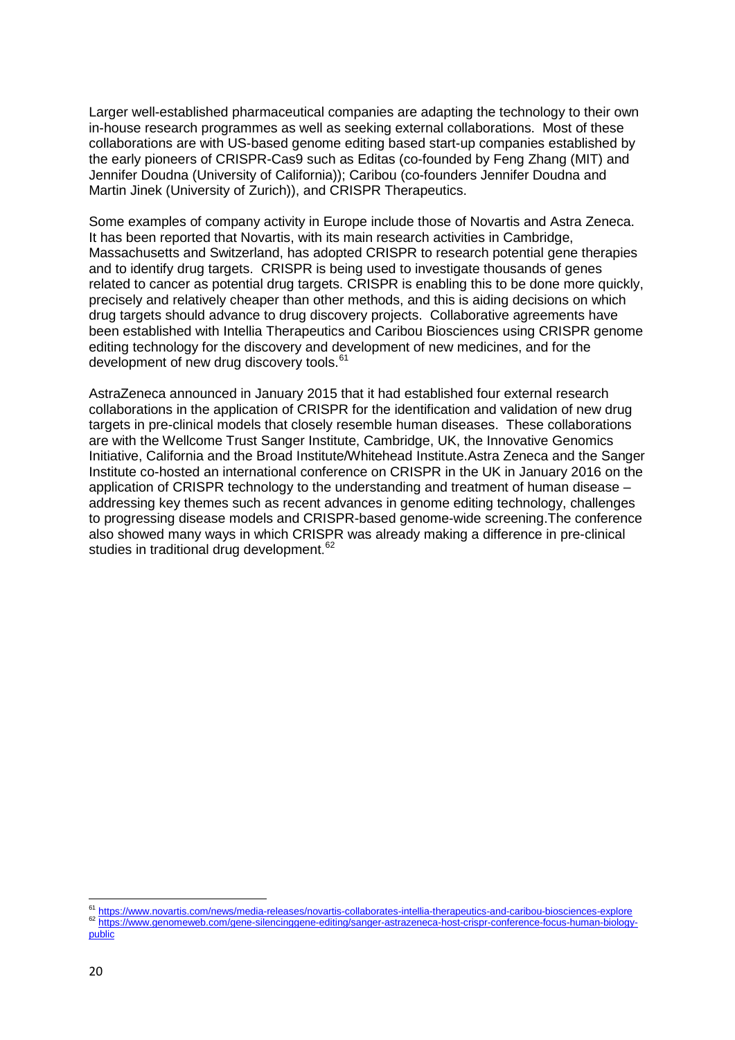Larger well-established pharmaceutical companies are adapting the technology to their own in-house research programmes as well as seeking external collaborations. Most of these collaborations are with US-based genome editing based start-up companies established by the early pioneers of CRISPR-Cas9 such as Editas (co-founded by Feng Zhang (MIT) and Jennifer Doudna (University of California)); Caribou (co-founders Jennifer Doudna and Martin Jinek (University of Zurich)), and CRISPR Therapeutics.

Some examples of company activity in Europe include those of Novartis and Astra Zeneca. It has been reported that Novartis, with its main research activities in Cambridge, Massachusetts and Switzerland, has adopted CRISPR to research potential gene therapies and to identify drug targets. CRISPR is being used to investigate thousands of genes related to cancer as potential drug targets. CRISPR is enabling this to be done more quickly, precisely and relatively cheaper than other methods, and this is aiding decisions on which drug targets should advance to drug discovery projects. Collaborative agreements have been established with Intellia Therapeutics and Caribou Biosciences using CRISPR genome editing technology for the discovery and development of new medicines, and for the development of new drug discovery tools.<sup>[61](#page-19-0)</sup>

AstraZeneca announced in January 2015 that it had established four external research collaborations in the application of CRISPR for the identification and validation of new drug targets in pre-clinical models that closely resemble human diseases. These collaborations are with the Wellcome Trust Sanger Institute, Cambridge, UK, the Innovative Genomics Initiative, California and the Broad Institute/Whitehead Institute.Astra Zeneca and the Sanger Institute co-hosted an international conference on CRISPR in the UK in January 2016 on the application of CRISPR technology to the understanding and treatment of human disease – addressing key themes such as recent advances in genome editing technology, challenges to progressing disease models and CRISPR-based genome-wide screening.The conference also showed many ways in which CRISPR was already making a difference in pre-clinical studies in traditional drug development.<sup>[62](#page-19-1)</sup>

**.** 

<span id="page-19-0"></span><sup>&</sup>lt;sup>61</sup> <https://www.novartis.com/news/media-releases/novartis-collaborates-intellia-therapeutics-and-caribou-biosciences-explore><br><sup>62</sup> https://www.genomeweb.com/gene-silencinggene-editing/sanger-astrazeneca-host-crispr-confere

<span id="page-19-1"></span>[public](https://www.genomeweb.com/gene-silencinggene-editing/sanger-astrazeneca-host-crispr-conference-focus-human-biology-public)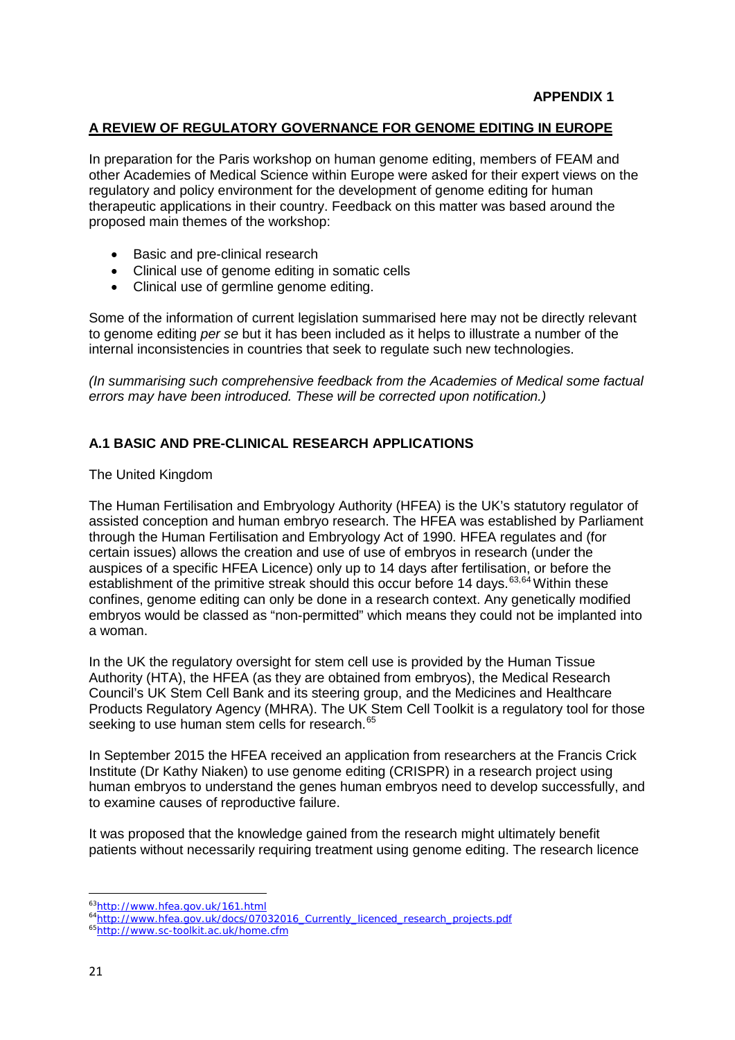## **A REVIEW OF REGULATORY GOVERNANCE FOR GENOME EDITING IN EUROPE**

In preparation for the Paris workshop on human genome editing, members of FEAM and other Academies of Medical Science within Europe were asked for their expert views on the regulatory and policy environment for the development of genome editing for human therapeutic applications in their country. Feedback on this matter was based around the proposed main themes of the workshop:

- Basic and pre-clinical research
- Clinical use of genome editing in somatic cells
- Clinical use of germline genome editing.

Some of the information of current legislation summarised here may not be directly relevant to genome editing *per se* but it has been included as it helps to illustrate a number of the internal inconsistencies in countries that seek to regulate such new technologies.

*(In summarising such comprehensive feedback from the Academies of Medical some factual errors may have been introduced. These will be corrected upon notification.)* 

### **A.1 BASIC AND PRE-CLINICAL RESEARCH APPLICATIONS**

The United Kingdom

The Human Fertilisation and Embryology Authority (HFEA) is the UK's statutory regulator of assisted conception and human embryo research. The HFEA was established by Parliament through the Human Fertilisation and Embryology Act of 1990. HFEA regulates and (for certain issues) allows the creation and use of use of embryos in research (under the auspices of a specific HFEA Licence) only up to 14 days after fertilisation, or before the establishment of the primitive streak should this occur before 14 days.<sup>[63](#page-20-0),[64](#page-20-1)</sup> Within these confines, genome editing can only be done in a research context. Any genetically modified embryos would be classed as "non-permitted" which means they could not be implanted into a woman.

In the UK the regulatory oversight for stem cell use is provided by the Human Tissue Authority (HTA), the HFEA (as they are obtained from embryos), the Medical Research Council's UK Stem Cell Bank and its steering group, and the Medicines and Healthcare Products Regulatory Agency (MHRA). The UK Stem Cell Toolkit is a regulatory tool for those seeking to use human stem cells for research.<sup>[65](#page-20-2)</sup>

In September 2015 the HFEA received an application from researchers at the Francis Crick Institute (Dr Kathy Niaken) to use genome editing (CRISPR) in a research project using human embryos to understand the genes human embryos need to develop successfully, and to examine causes of reproductive failure.

It was proposed that the knowledge gained from the research might ultimately benefit patients without necessarily requiring treatment using genome editing. The research licence

**.** 

<span id="page-20-0"></span>[<sup>63</sup>http://www.hfea.gov.uk/161.html](http://www.hfea.gov.uk/161.html)

<span id="page-20-2"></span><span id="page-20-1"></span>[<sup>64</sup>http://www.hfea.gov.uk/docs/07032016\\_Currently\\_licenced\\_research\\_projects.pdf](http://www.hfea.gov.uk/docs/07032016_Currently_licenced_research_projects.pdf) [65http://www.sc-toolkit.ac.uk/home.cfm](http://www.sc-toolkit.ac.uk/home.cfm)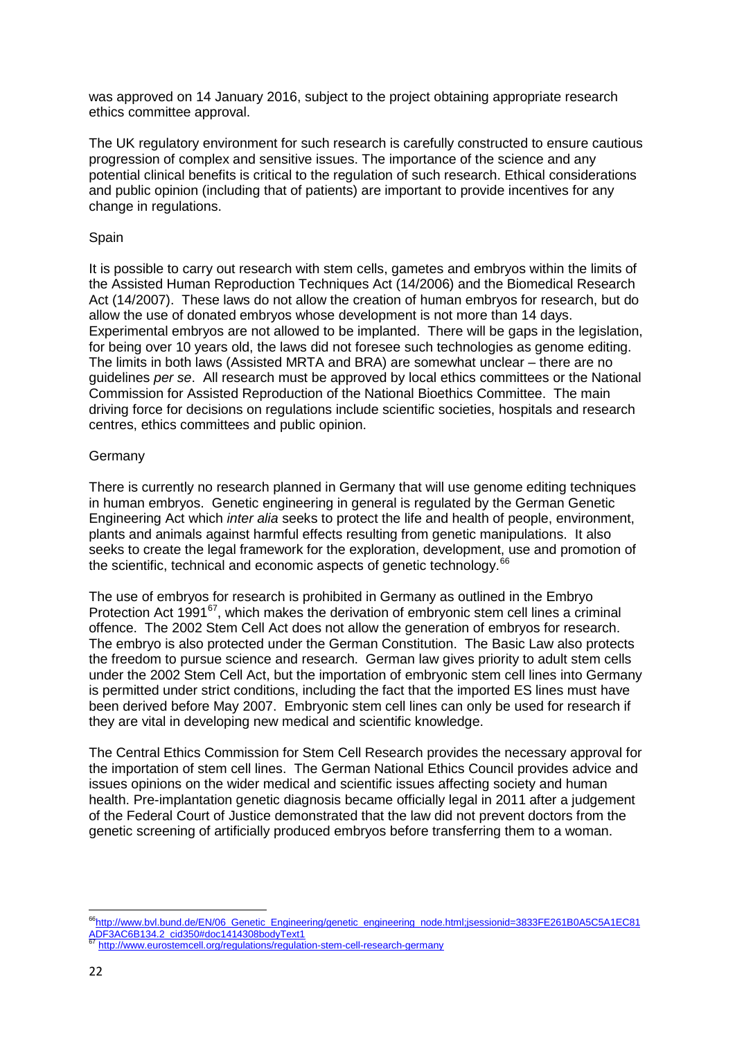was approved on 14 January 2016, subject to the project obtaining appropriate research ethics committee approval.

The UK regulatory environment for such research is carefully constructed to ensure cautious progression of complex and sensitive issues. The importance of the science and any potential clinical benefits is critical to the regulation of such research. Ethical considerations and public opinion (including that of patients) are important to provide incentives for any change in regulations.

## Spain

It is possible to carry out research with stem cells, gametes and embryos within the limits of the Assisted Human Reproduction Techniques Act (14/2006) and the Biomedical Research Act (14/2007). These laws do not allow the creation of human embryos for research, but do allow the use of donated embryos whose development is not more than 14 days. Experimental embryos are not allowed to be implanted. There will be gaps in the legislation, for being over 10 years old, the laws did not foresee such technologies as genome editing. The limits in both laws (Assisted MRTA and BRA) are somewhat unclear – there are no guidelines *per se*. All research must be approved by local ethics committees or the National Commission for Assisted Reproduction of the National Bioethics Committee. The main driving force for decisions on regulations include scientific societies, hospitals and research centres, ethics committees and public opinion.

### **Germany**

There is currently no research planned in Germany that will use genome editing techniques in human embryos. Genetic engineering in general is regulated by the German Genetic Engineering Act which *inter alia* seeks to protect the life and health of people, environment, plants and animals against harmful effects resulting from genetic manipulations. It also seeks to create the legal framework for the exploration, development, use and promotion of the scientific, technical and economic aspects of genetic technology.<sup>[66](#page-21-0)</sup>

The use of embryos for research is prohibited in Germany as outlined in the Embryo Protection Act 1991<sup>[67](#page-21-1)</sup>, which makes the derivation of embryonic stem cell lines a criminal offence. The 2002 Stem Cell Act does not allow the generation of embryos for research. The embryo is also protected under the German Constitution. The Basic Law also protects the freedom to pursue science and research. German law gives priority to adult stem cells under the 2002 Stem Cell Act, but the importation of embryonic stem cell lines into Germany is permitted under strict conditions, including the fact that the imported ES lines must have been derived before May 2007. Embryonic stem cell lines can only be used for research if they are vital in developing new medical and scientific knowledge.

The Central Ethics Commission for Stem Cell Research provides the necessary approval for the importation of stem cell lines. The German National Ethics Council provides advice and issues opinions on the wider medical and scientific issues affecting society and human health. Pre-implantation genetic diagnosis became officially legal in 2011 after a judgement of the Federal Court of Justice demonstrated that the law did not prevent doctors from the genetic screening of artificially produced embryos before transferring them to a woman.

 $\overline{a}$ 

<span id="page-21-0"></span><sup>&</sup>lt;sup>66</sup>[http://www.bvl.bund.de/EN/06\\_Genetic\\_Engineering/genetic\\_engineering\\_node.html;jsessionid=3833FE261B0A5C5A1EC81](http://www.bvl.bund.de/EN/06_Genetic_Engineering/genetic_engineering_node.html;jsessionid=3833FE261B0A5C5A1EC81ADF3AC6B134.2_cid350#doc1414308bodyText1) [ADF3AC6B134.2\\_cid350#doc1414308bodyText1](http://www.bvl.bund.de/EN/06_Genetic_Engineering/genetic_engineering_node.html;jsessionid=3833FE261B0A5C5A1EC81ADF3AC6B134.2_cid350#doc1414308bodyText1)

<span id="page-21-1"></span><http://www.eurostemcell.org/regulations/regulation-stem-cell-research-germany>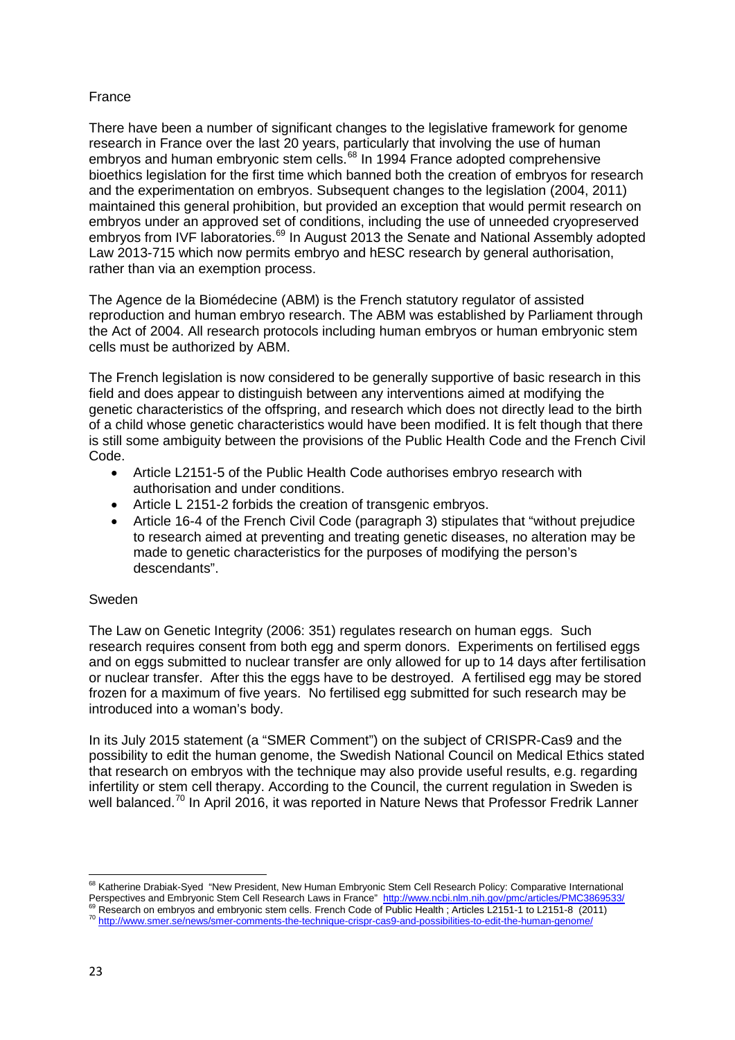## France

There have been a number of significant changes to the legislative framework for genome research in France over the last 20 years, particularly that involving the use of human embryos and human embryonic stem cells.<sup>[68](#page-22-0)</sup> In 1994 France adopted comprehensive bioethics legislation for the first time which banned both the creation of embryos for research and the experimentation on embryos. Subsequent changes to the legislation (2004, 2011) maintained this general prohibition, but provided an exception that would permit research on embryos under an approved set of conditions, including the use of unneeded cryopreserved embryos from IVF laboratories.<sup>[69](#page-22-1)</sup> In August 2013 the Senate and National Assembly adopted Law 2013-715 which now permits embryo and hESC research by general authorisation, rather than via an exemption process.

The Agence de la Biomédecine (ABM) is the French statutory regulator of assisted reproduction and human embryo research. The ABM was established by Parliament through the Act of 2004. All research protocols including human embryos or human embryonic stem cells must be authorized by ABM.

The French legislation is now considered to be generally supportive of basic research in this field and does appear to distinguish between any interventions aimed at modifying the genetic characteristics of the offspring, and research which does not directly lead to the birth of a child whose genetic characteristics would have been modified. It is felt though that there is still some ambiguity between the provisions of the Public Health Code and the French Civil Code.

- Article L2151-5 of the Public Health Code authorises embryo research with authorisation and under conditions.
- Article L 2151-2 forbids the creation of transgenic embryos.
- Article 16-4 of the French Civil Code (paragraph 3) stipulates that "without prejudice to research aimed at preventing and treating genetic diseases, no alteration may be made to genetic characteristics for the purposes of modifying the person's descendants".

## Sweden

The Law on Genetic Integrity (2006: 351) regulates research on human eggs. Such research requires consent from both egg and sperm donors. Experiments on fertilised eggs and on eggs submitted to nuclear transfer are only allowed for up to 14 days after fertilisation or nuclear transfer. After this the eggs have to be destroyed. A fertilised egg may be stored frozen for a maximum of five years. No fertilised egg submitted for such research may be introduced into a woman's body.

In its July 2015 statement (a "SMER Comment") on the subject of CRISPR-Cas9 and the possibility to edit the human genome, the Swedish National Council on Medical Ethics stated that research on embryos with the technique may also provide useful results, e.g. regarding infertility or stem cell therapy. According to the Council, the current regulation in Sweden is well balanced.<sup>[70](#page-22-2)</sup> In April 2016, it was reported in Nature News that Professor Fredrik Lanner

<span id="page-22-0"></span>**<sup>.</sup>** <sup>68</sup> Katherine Drabiak-Syed "New President, New Human Embryonic Stem Cell Research Policy: Comparative International Perspectives and Embryonic Stem Cell Research Laws in France" http://www.ncbi.nlm.nih.gov/pmc/articles/PMC3869533/<br>
Perspectives and Embryonic Stem Cell Research Laws in France" http://www.ncbi.nlm.nih.gov/pmc/articles/PMC

<span id="page-22-2"></span><span id="page-22-1"></span><sup>&</sup>lt;sup>69</sup> Research on embryos and embryonic stem cells. French Code of Public Health; Articles L2151-1 to L2151-8 (2011)<br><sup>70</sup> http://www.smer.se/<u>news/smer-comments-the-technique-crispr-cas9-and-possibilities-to-edit-the-human-</u>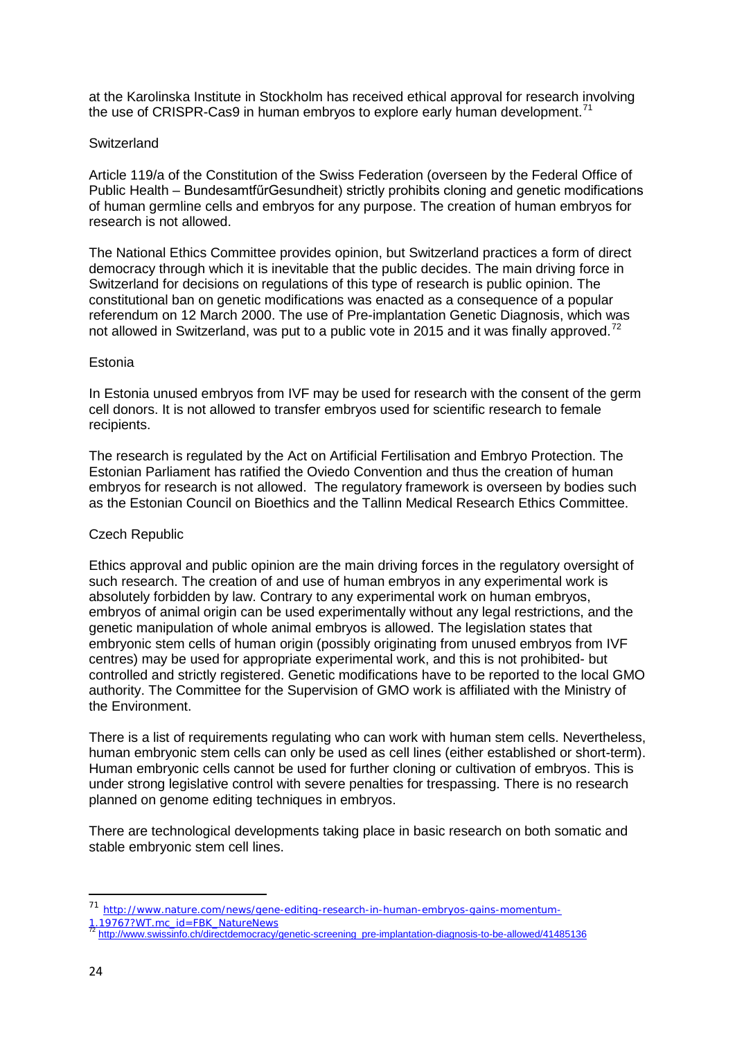at the Karolinska Institute in Stockholm has received ethical approval for research involving the use of CRISPR-Cas9 in human embryos to explore early human development.<sup>[71](#page-23-0)</sup>

### **Switzerland**

Article 119/a of the Constitution of the Swiss Federation (overseen by the Federal Office of Public Health – BundesamtfűrGesundheit) strictly prohibits cloning and genetic modifications of human germline cells and embryos for any purpose. The creation of human embryos for research is not allowed.

The National Ethics Committee provides opinion, but Switzerland practices a form of direct democracy through which it is inevitable that the public decides. The main driving force in Switzerland for decisions on regulations of this type of research is public opinion. The constitutional ban on genetic modifications was enacted as a consequence of a popular referendum on 12 March 2000. The use of Pre-implantation Genetic Diagnosis, which was not allowed in Switzerland, was put to a public vote in 2015 and it was finally approved.<sup>[72](#page-23-1)</sup>

### Estonia

In Estonia unused embryos from IVF may be used for research with the consent of the germ cell donors. It is not allowed to transfer embryos used for scientific research to female recipients.

The research is regulated by the Act on Artificial Fertilisation and Embryo Protection. The Estonian Parliament has ratified the Oviedo Convention and thus the creation of human embryos for research is not allowed. The regulatory framework is overseen by bodies such as the Estonian Council on Bioethics and the Tallinn Medical Research Ethics Committee.

## Czech Republic

Ethics approval and public opinion are the main driving forces in the regulatory oversight of such research. The creation of and use of human embryos in any experimental work is absolutely forbidden by law. Contrary to any experimental work on human embryos, embryos of animal origin can be used experimentally without any legal restrictions, and the genetic manipulation of whole animal embryos is allowed. The legislation states that embryonic stem cells of human origin (possibly originating from unused embryos from IVF centres) may be used for appropriate experimental work, and this is not prohibited- but controlled and strictly registered. Genetic modifications have to be reported to the local GMO authority. The Committee for the Supervision of GMO work is affiliated with the Ministry of the Environment.

There is a list of requirements regulating who can work with human stem cells. Nevertheless, human embryonic stem cells can only be used as cell lines (either established or short-term). Human embryonic cells cannot be used for further cloning or cultivation of embryos. This is under strong legislative control with severe penalties for trespassing. There is no research planned on genome editing techniques in embryos.

There are technological developments taking place in basic research on both somatic and stable embryonic stem cell lines.

 $\overline{a}$ 

<sup>71</sup> [http://www.nature.com/news/gene-editing-research-in-human-embryos-gains-momentum-](http://www.nature.com/news/gene-editing-research-in-human-embryos-gains-momentum-1.19767?WT.mc_id=FBK_NatureNews)

<span id="page-23-1"></span><span id="page-23-0"></span>[<sup>1.19767?</sup>WT.mc\\_id=FBK\\_NatureNews](http://www.nature.com/news/gene-editing-research-in-human-embryos-gains-momentum-1.19767?WT.mc_id=FBK_NatureNews)<br>
<sup>72</sup> [http://www.swissinfo.ch/directdemocracy/genetic-screening\\_pre-implantation-diagnosis-to-be-allowed/41485136](http://www.swissinfo.ch/directdemocracy/genetic-screening_pre-implantation-diagnosis-to-be-allowed/41485136)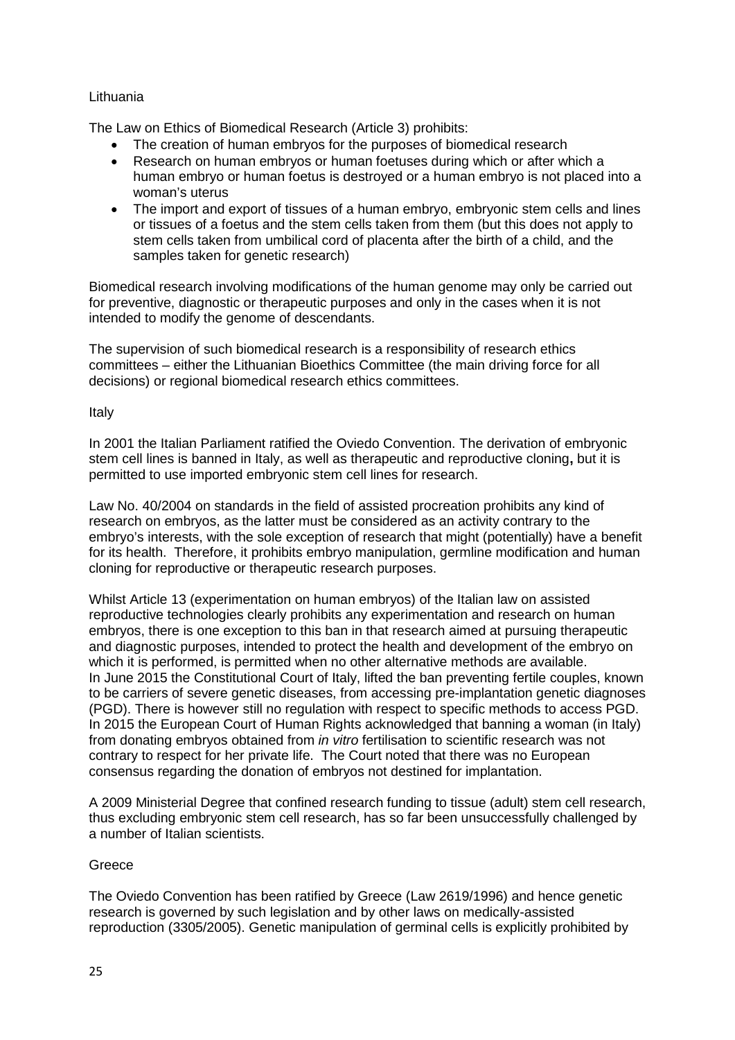### Lithuania

The Law on Ethics of Biomedical Research (Article 3) prohibits:

- The creation of human embryos for the purposes of biomedical research
- Research on human embryos or human foetuses during which or after which a human embryo or human foetus is destroyed or a human embryo is not placed into a woman's uterus
- The import and export of tissues of a human embryo, embryonic stem cells and lines or tissues of a foetus and the stem cells taken from them (but this does not apply to stem cells taken from umbilical cord of placenta after the birth of a child, and the samples taken for genetic research)

Biomedical research involving modifications of the human genome may only be carried out for preventive, diagnostic or therapeutic purposes and only in the cases when it is not intended to modify the genome of descendants.

The supervision of such biomedical research is a responsibility of research ethics committees – either the Lithuanian Bioethics Committee (the main driving force for all decisions) or regional biomedical research ethics committees.

Italy

In 2001 the Italian Parliament ratified the Oviedo Convention. The derivation of embryonic stem cell lines is banned in Italy, as well as therapeutic and reproductive cloning**,** but it is permitted to use imported embryonic stem cell lines for research.

Law No. 40/2004 on standards in the field of assisted procreation prohibits any kind of research on embryos, as the latter must be considered as an activity contrary to the embryo's interests, with the sole exception of research that might (potentially) have a benefit for its health. Therefore, it prohibits embryo manipulation, germline modification and human cloning for reproductive or therapeutic research purposes.

Whilst Article 13 (experimentation on human embryos) of the Italian law on assisted reproductive technologies clearly prohibits any experimentation and research on human embryos, there is one exception to this ban in that research aimed at pursuing therapeutic and diagnostic purposes, intended to protect the health and development of the embryo on which it is performed, is permitted when no other alternative methods are available. In June 2015 the Constitutional Court of Italy, lifted the ban preventing fertile couples, known to be carriers of severe genetic diseases, from accessing pre-implantation genetic diagnoses (PGD). There is however still no regulation with respect to specific methods to access PGD. In 2015 the European Court of Human Rights acknowledged that banning a woman (in Italy) from donating embryos obtained from *in vitro* fertilisation to scientific research was not contrary to respect for her private life. The Court noted that there was no European consensus regarding the donation of embryos not destined for implantation.

A 2009 Ministerial Degree that confined research funding to tissue (adult) stem cell research, thus excluding embryonic stem cell research, has so far been unsuccessfully challenged by a number of Italian scientists.

## **Greece**

The Oviedo Convention has been ratified by Greece (Law 2619/1996) and hence genetic research is governed by such legislation and by other laws on medically-assisted reproduction (3305/2005). Genetic manipulation of germinal cells is explicitly prohibited by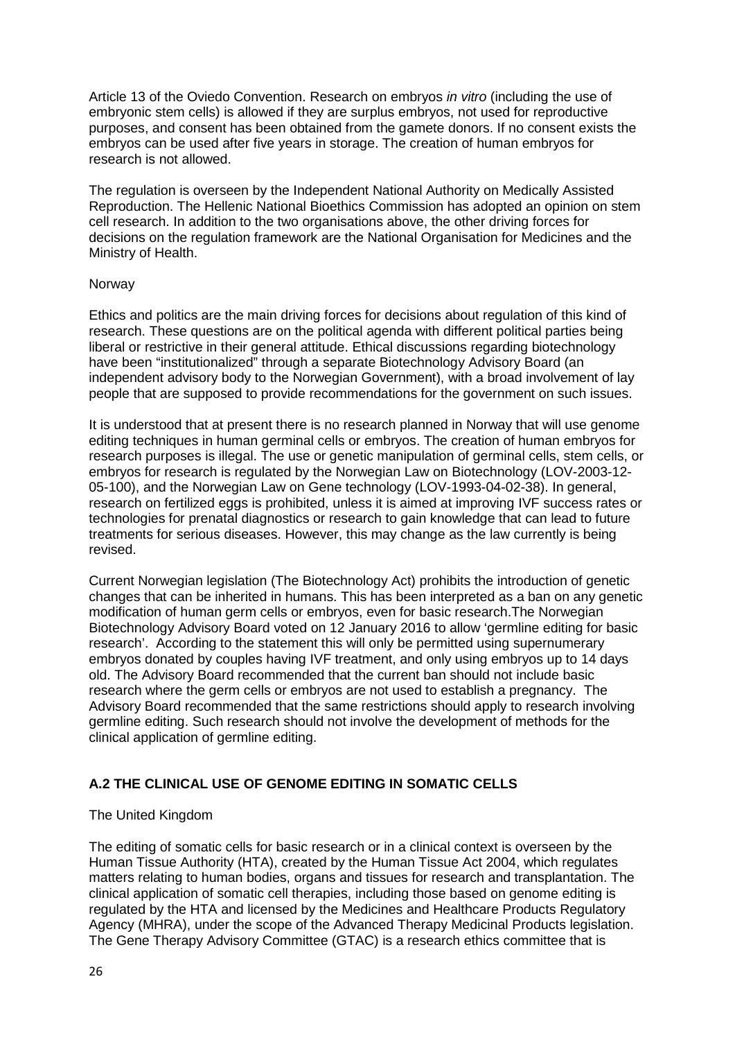Article 13 of the Oviedo Convention. Research on embryos *in vitro* (including the use of embryonic stem cells) is allowed if they are surplus embryos, not used for reproductive purposes, and consent has been obtained from the gamete donors. If no consent exists the embryos can be used after five years in storage. The creation of human embryos for research is not allowed.

The regulation is overseen by the Independent National Authority on Medically Assisted Reproduction. The Hellenic National Bioethics Commission has adopted an opinion on stem cell research. In addition to the two organisations above, the other driving forces for decisions on the regulation framework are the National Organisation for Medicines and the Ministry of Health.

### Norway

Ethics and politics are the main driving forces for decisions about regulation of this kind of research. These questions are on the political agenda with different political parties being liberal or restrictive in their general attitude. Ethical discussions regarding biotechnology have been "institutionalized" through a separate Biotechnology Advisory Board (an independent advisory body to the Norwegian Government), with a broad involvement of lay people that are supposed to provide recommendations for the government on such issues.

It is understood that at present there is no research planned in Norway that will use genome editing techniques in human germinal cells or embryos. The creation of human embryos for research purposes is illegal. The use or genetic manipulation of germinal cells, stem cells, or embryos for research is regulated by the Norwegian Law on Biotechnology (LOV-2003-12- 05-100), and the Norwegian Law on Gene technology (LOV-1993-04-02-38). In general, research on fertilized eggs is prohibited, unless it is aimed at improving IVF success rates or technologies for prenatal diagnostics or research to gain knowledge that can lead to future treatments for serious diseases. However, this may change as the law currently is being revised.

Current Norwegian legislation (The Biotechnology Act) prohibits the introduction of genetic changes that can be inherited in humans. This has been interpreted as a ban on any genetic modification of human germ cells or embryos, even for basic research.The Norwegian Biotechnology Advisory Board voted on 12 January 2016 to allow 'germline editing for basic research'. According to the statement this will only be permitted using supernumerary embryos donated by couples having IVF treatment, and only using embryos up to 14 days old. The Advisory Board recommended that the current ban should not include basic research where the germ cells or embryos are not used to establish a pregnancy. The Advisory Board recommended that the same restrictions should apply to research involving germline editing. Such research should not involve the development of methods for the clinical application of germline editing.

# **A.2 THE CLINICAL USE OF GENOME EDITING IN SOMATIC CELLS**

## The United Kingdom

The editing of somatic cells for basic research or in a clinical context is overseen by the Human Tissue Authority (HTA), created by the Human Tissue Act 2004, which regulates matters relating to human bodies, organs and tissues for research and transplantation. The clinical application of somatic cell therapies, including those based on genome editing is regulated by the HTA and licensed by the Medicines and Healthcare Products Regulatory Agency (MHRA), under the scope of the Advanced Therapy Medicinal Products legislation. The Gene Therapy Advisory Committee (GTAC) is a research ethics committee that is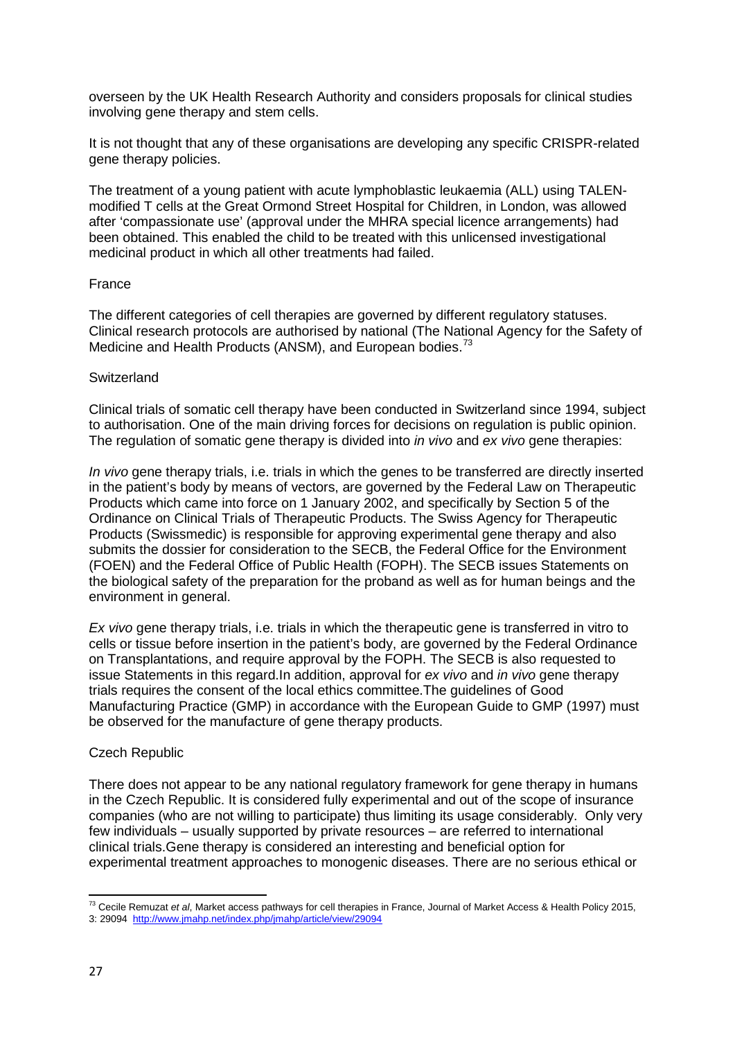overseen by the UK Health Research Authority and considers proposals for clinical studies involving gene therapy and stem cells.

It is not thought that any of these organisations are developing any specific CRISPR-related gene therapy policies.

The treatment of a young patient with acute lymphoblastic leukaemia (ALL) using TALENmodified T cells at the Great Ormond Street Hospital for Children, in London, was allowed after 'compassionate use' (approval under the MHRA special licence arrangements) had been obtained. This enabled the child to be treated with this unlicensed investigational medicinal product in which all other treatments had failed.

#### France

The different categories of cell therapies are governed by different regulatory statuses. Clinical research protocols are authorised by national (The National Agency for the Safety of Medicine and Health Products (ANSM), and European bodies.<sup>[73](#page-26-0)</sup>

### **Switzerland**

Clinical trials of somatic cell therapy have been conducted in Switzerland since 1994, subject to authorisation. One of the main driving forces for decisions on regulation is public opinion. The regulation of somatic gene therapy is divided into *in vivo* and *ex vivo* gene therapies:

*In vivo* gene therapy trials, i.e. trials in which the genes to be transferred are directly inserted in the patient's body by means of vectors, are governed by the Federal Law on Therapeutic Products which came into force on 1 January 2002, and specifically by Section 5 of the Ordinance on Clinical Trials of Therapeutic Products. The Swiss Agency for Therapeutic Products (Swissmedic) is responsible for approving experimental gene therapy and also submits the dossier for consideration to the SECB, the Federal Office for the Environment (FOEN) and the Federal Office of Public Health (FOPH). The SECB issues Statements on the biological safety of the preparation for the proband as well as for human beings and the environment in general.

*Ex vivo* gene therapy trials, i.e. trials in which the therapeutic gene is transferred in vitro to cells or tissue before insertion in the patient's body, are governed by the Federal Ordinance on Transplantations, and require approval by the FOPH. The SECB is also requested to issue Statements in this regard.In addition, approval for *ex vivo* and *in vivo* gene therapy trials requires the consent of the local ethics committee.The guidelines of Good Manufacturing Practice (GMP) in accordance with the European Guide to GMP (1997) must be observed for the manufacture of gene therapy products.

#### Czech Republic

There does not appear to be any national regulatory framework for gene therapy in humans in the Czech Republic. It is considered fully experimental and out of the scope of insurance companies (who are not willing to participate) thus limiting its usage considerably. Only very few individuals – usually supported by private resources – are referred to international clinical trials.Gene therapy is considered an interesting and beneficial option for experimental treatment approaches to monogenic diseases. There are no serious ethical or

<span id="page-26-0"></span>**<sup>.</sup>** <sup>73</sup> Cecile Remuzat *et al*, Market access pathways for cell therapies in France, Journal of Market Access & Health Policy 2015,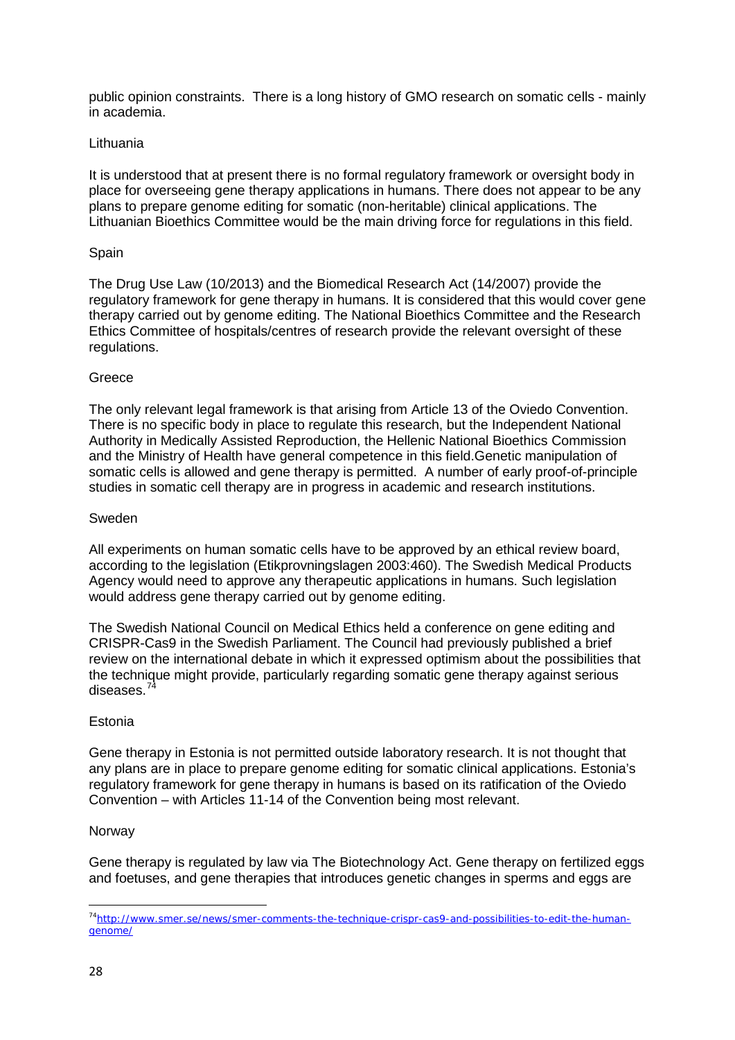public opinion constraints. There is a long history of GMO research on somatic cells - mainly in academia.

### Lithuania

It is understood that at present there is no formal regulatory framework or oversight body in place for overseeing gene therapy applications in humans. There does not appear to be any plans to prepare genome editing for somatic (non-heritable) clinical applications. The Lithuanian Bioethics Committee would be the main driving force for regulations in this field.

### **Spain**

The Drug Use Law (10/2013) and the Biomedical Research Act (14/2007) provide the regulatory framework for gene therapy in humans. It is considered that this would cover gene therapy carried out by genome editing. The National Bioethics Committee and the Research Ethics Committee of hospitals/centres of research provide the relevant oversight of these regulations.

### Greece

The only relevant legal framework is that arising from Article 13 of the Oviedo Convention. There is no specific body in place to regulate this research, but the Independent National Authority in Medically Assisted Reproduction, the Hellenic National Bioethics Commission and the Ministry of Health have general competence in this field.Genetic manipulation of somatic cells is allowed and gene therapy is permitted. A number of early proof-of-principle studies in somatic cell therapy are in progress in academic and research institutions.

### Sweden

All experiments on human somatic cells have to be approved by an ethical review board, according to the legislation (Etikprovningslagen 2003:460). The Swedish Medical Products Agency would need to approve any therapeutic applications in humans. Such legislation would address gene therapy carried out by genome editing.

The Swedish National Council on Medical Ethics held a conference on gene editing and CRISPR-Cas9 in the Swedish Parliament. The Council had previously published a brief review on the international debate in which it expressed optimism about the possibilities that the technique might provide, particularly regarding somatic gene therapy against serious diseases.<sup>7</sup>

#### Estonia

Gene therapy in Estonia is not permitted outside laboratory research. It is not thought that any plans are in place to prepare genome editing for somatic clinical applications. Estonia's regulatory framework for gene therapy in humans is based on its ratification of the Oviedo Convention – with Articles 11-14 of the Convention being most relevant.

#### Norway

Gene therapy is regulated by law via The Biotechnology Act. Gene therapy on fertilized eggs and foetuses, and gene therapies that introduces genetic changes in sperms and eggs are

**.** 

<span id="page-27-0"></span>[<sup>74</sup>http://www.smer.se/news/smer-comments-the-technique-crispr-cas9-and-possibilities-to-edit-the-human](http://www.smer.se/news/smer-comments-the-technique-crispr-cas9-and-possibilities-to-edit-the-human-genome/)[genome/](http://www.smer.se/news/smer-comments-the-technique-crispr-cas9-and-possibilities-to-edit-the-human-genome/)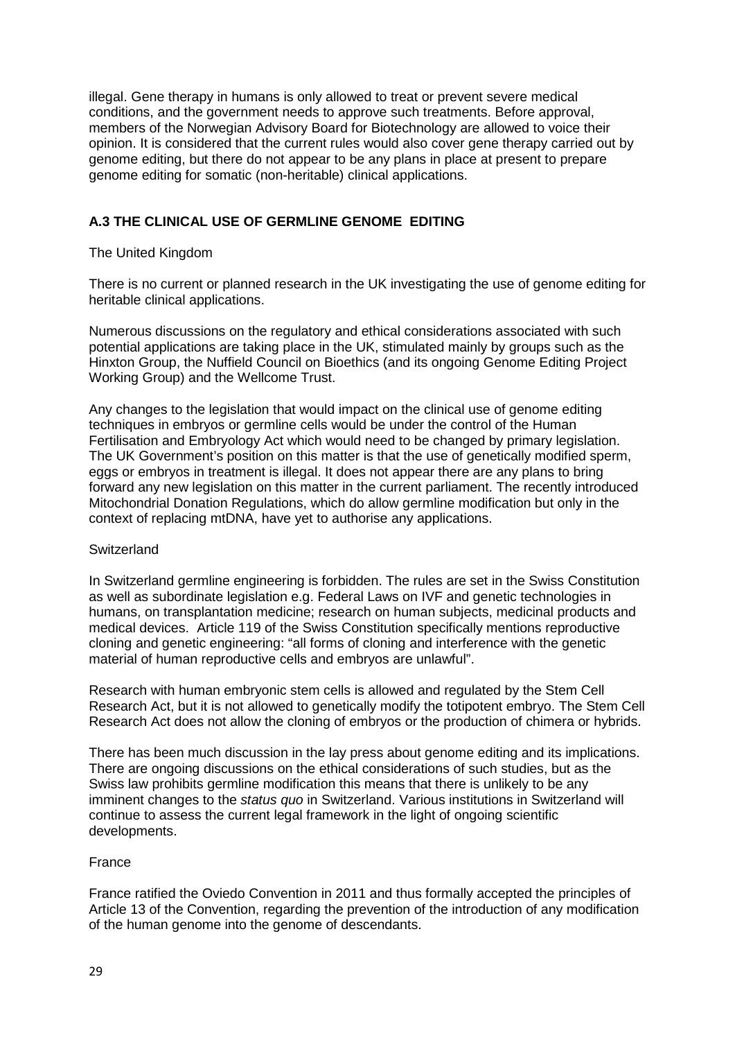illegal. Gene therapy in humans is only allowed to treat or prevent severe medical conditions, and the government needs to approve such treatments. Before approval, members of the Norwegian Advisory Board for Biotechnology are allowed to voice their opinion. It is considered that the current rules would also cover gene therapy carried out by genome editing, but there do not appear to be any plans in place at present to prepare genome editing for somatic (non-heritable) clinical applications.

# **A.3 THE CLINICAL USE OF GERMLINE GENOME EDITING**

## The United Kingdom

There is no current or planned research in the UK investigating the use of genome editing for heritable clinical applications.

Numerous discussions on the regulatory and ethical considerations associated with such potential applications are taking place in the UK, stimulated mainly by groups such as the Hinxton Group, the Nuffield Council on Bioethics (and its ongoing Genome Editing Project Working Group) and the Wellcome Trust.

Any changes to the legislation that would impact on the clinical use of genome editing techniques in embryos or germline cells would be under the control of the Human Fertilisation and Embryology Act which would need to be changed by primary legislation. The UK Government's position on this matter is that the use of genetically modified sperm, eggs or embryos in treatment is illegal. It does not appear there are any plans to bring forward any new legislation on this matter in the current parliament. The recently introduced Mitochondrial Donation Regulations, which do allow germline modification but only in the context of replacing mtDNA, have yet to authorise any applications.

## **Switzerland**

In Switzerland germline engineering is forbidden. The rules are set in the Swiss Constitution as well as subordinate legislation e.g. Federal Laws on IVF and genetic technologies in humans, on transplantation medicine; research on human subjects, medicinal products and medical devices. Article 119 of the Swiss Constitution specifically mentions reproductive cloning and genetic engineering: "all forms of cloning and interference with the genetic material of human reproductive cells and embryos are unlawful".

Research with human embryonic stem cells is allowed and regulated by the Stem Cell Research Act, but it is not allowed to genetically modify the totipotent embryo. The Stem Cell Research Act does not allow the cloning of embryos or the production of chimera or hybrids.

There has been much discussion in the lay press about genome editing and its implications. There are ongoing discussions on the ethical considerations of such studies, but as the Swiss law prohibits germline modification this means that there is unlikely to be any imminent changes to the *status quo* in Switzerland. Various institutions in Switzerland will continue to assess the current legal framework in the light of ongoing scientific developments.

## France

France ratified the Oviedo Convention in 2011 and thus formally accepted the principles of Article 13 of the Convention, regarding the prevention of the introduction of any modification of the human genome into the genome of descendants.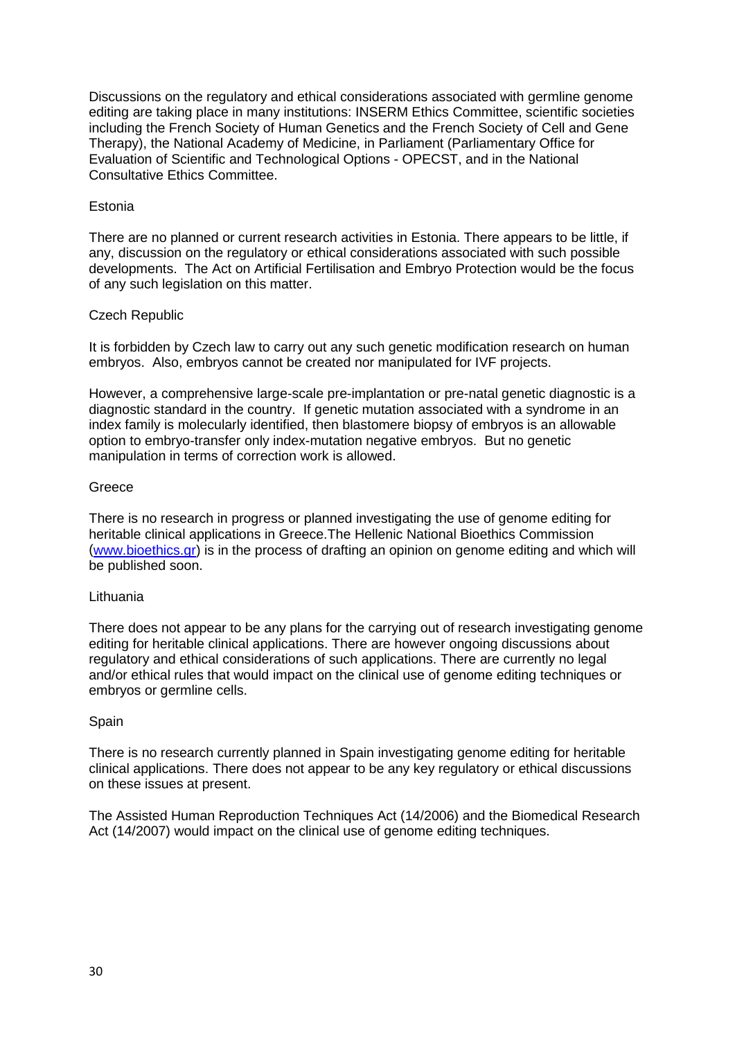Discussions on the regulatory and ethical considerations associated with germline genome editing are taking place in many institutions: INSERM Ethics Committee, scientific societies including the French Society of Human Genetics and the French Society of Cell and Gene Therapy), the National Academy of Medicine, in Parliament (Parliamentary Office for Evaluation of Scientific and Technological Options - OPECST, and in the National Consultative Ethics Committee.

## Estonia

There are no planned or current research activities in Estonia. There appears to be little, if any, discussion on the regulatory or ethical considerations associated with such possible developments. The Act on Artificial Fertilisation and Embryo Protection would be the focus of any such legislation on this matter.

### Czech Republic

It is forbidden by Czech law to carry out any such genetic modification research on human embryos. Also, embryos cannot be created nor manipulated for IVF projects.

However, a comprehensive large-scale pre-implantation or pre-natal genetic diagnostic is a diagnostic standard in the country. If genetic mutation associated with a syndrome in an index family is molecularly identified, then blastomere biopsy of embryos is an allowable option to embryo-transfer only index-mutation negative embryos. But no genetic manipulation in terms of correction work is allowed.

### **Greece**

There is no research in progress or planned investigating the use of genome editing for heritable clinical applications in Greece.The Hellenic National Bioethics Commission [\(www.bioethics.gr\)](http://www.bioethics.gr/) is in the process of drafting an opinion on genome editing and which will be published soon.

#### **Lithuania**

There does not appear to be any plans for the carrying out of research investigating genome editing for heritable clinical applications. There are however ongoing discussions about regulatory and ethical considerations of such applications. There are currently no legal and/or ethical rules that would impact on the clinical use of genome editing techniques or embryos or germline cells.

#### **Spain**

There is no research currently planned in Spain investigating genome editing for heritable clinical applications. There does not appear to be any key regulatory or ethical discussions on these issues at present.

The Assisted Human Reproduction Techniques Act (14/2006) and the Biomedical Research Act (14/2007) would impact on the clinical use of genome editing techniques.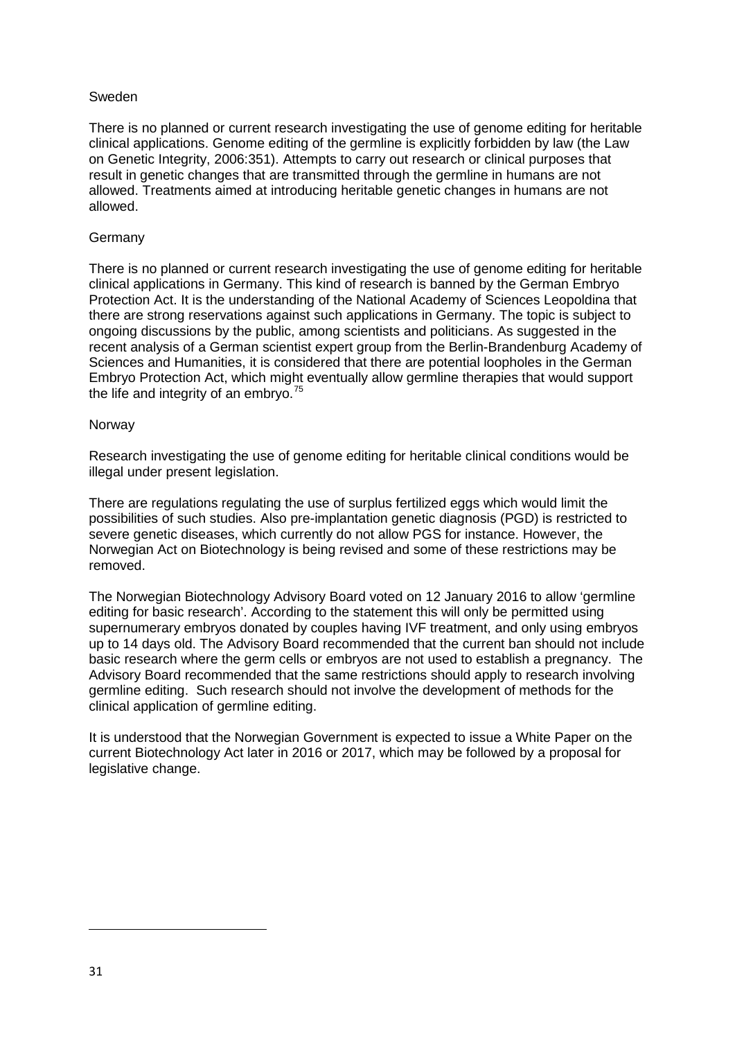## Sweden

There is no planned or current research investigating the use of genome editing for heritable clinical applications. Genome editing of the germline is explicitly forbidden by law (the Law on Genetic Integrity, 2006:351). Attempts to carry out research or clinical purposes that result in genetic changes that are transmitted through the germline in humans are not allowed. Treatments aimed at introducing heritable genetic changes in humans are not allowed.

### **Germany**

There is no planned or current research investigating the use of genome editing for heritable clinical applications in Germany. This kind of research is banned by the German Embryo Protection Act. It is the understanding of the National Academy of Sciences Leopoldina that there are strong reservations against such applications in Germany. The topic is subject to ongoing discussions by the public, among scientists and politicians. As suggested in the recent analysis of a German scientist expert group from the Berlin-Brandenburg Academy of Sciences and Humanities, it is considered that there are potential loopholes in the German Embryo Protection Act, which might eventually allow germline therapies that would support the life and integrity of an embryo.<sup>[75](#page-30-0)</sup>

#### Norway

Research investigating the use of genome editing for heritable clinical conditions would be illegal under present legislation.

There are regulations regulating the use of surplus fertilized eggs which would limit the possibilities of such studies. Also pre-implantation genetic diagnosis (PGD) is restricted to severe genetic diseases, which currently do not allow PGS for instance. However, the Norwegian Act on Biotechnology is being revised and some of these restrictions may be removed.

The Norwegian Biotechnology Advisory Board voted on 12 January 2016 to allow 'germline editing for basic research'. According to the statement this will only be permitted using supernumerary embryos donated by couples having IVF treatment, and only using embryos up to 14 days old. The Advisory Board recommended that the current ban should not include basic research where the germ cells or embryos are not used to establish a pregnancy. The Advisory Board recommended that the same restrictions should apply to research involving germline editing. Such research should not involve the development of methods for the clinical application of germline editing.

It is understood that the Norwegian Government is expected to issue a White Paper on the current Biotechnology Act later in 2016 or 2017, which may be followed by a proposal for legislative change.

<span id="page-30-0"></span> $\overline{a}$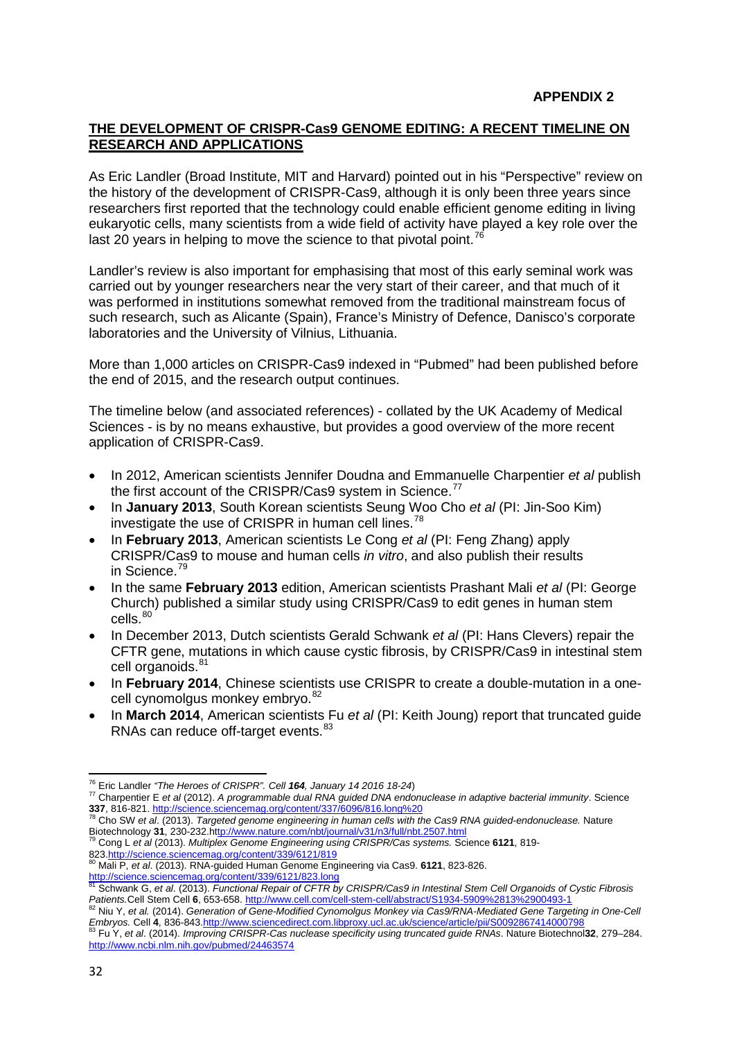## **THE DEVELOPMENT OF CRISPR-Cas9 GENOME EDITING: A RECENT TIMELINE ON RESEARCH AND APPLICATIONS**

As Eric Landler (Broad Institute, MIT and Harvard) pointed out in his "Perspective" review on the history of the development of CRISPR-Cas9, although it is only been three years since researchers first reported that the technology could enable efficient genome editing in living eukaryotic cells, many scientists from a wide field of activity have played a key role over the last 20 years in helping to move the science to that pivotal point.<sup>[76](#page-31-0)</sup>

Landler's review is also important for emphasising that most of this early seminal work was carried out by younger researchers near the very start of their career, and that much of it was performed in institutions somewhat removed from the traditional mainstream focus of such research, such as Alicante (Spain), France's Ministry of Defence, Danisco's corporate laboratories and the University of Vilnius, Lithuania.

More than 1,000 articles on CRISPR-Cas9 indexed in "Pubmed" had been published before the end of 2015, and the research output continues.

The timeline below (and associated references) - collated by the UK Academy of Medical Sciences - is by no means exhaustive, but provides a good overview of the more recent application of CRISPR-Cas9.

- In 2012, American scientists Jennifer Doudna and Emmanuelle Charpentier *et al* publish the first account of the CRISPR/Cas9 system in Science.<sup>[77](#page-31-1)</sup>
- In **January 2013**, South Korean scientists Seung Woo Cho *et al* (PI: Jin-Soo Kim) investigate the use of CRISPR in human cell lines.<sup>[78](#page-31-2)</sup>
- In **February 2013**, American scientists Le Cong *et al* (PI: Feng Zhang) apply CRISPR/Cas9 to mouse and human cells *in vitro*, and also publish their results in Science. [79](#page-31-3)
- In the same **February 2013** edition, American scientists Prashant Mali *et al* (PI: George Church) published a similar study using CRISPR/Cas9 to edit genes in human stem cells.<sup>[80](#page-31-4)</sup>
- In December 2013, Dutch scientists Gerald Schwank *et al* (PI: Hans Clevers) repair the CFTR gene, mutations in which cause cystic fibrosis, by CRISPR/Cas9 in intestinal stem cell organoids.<sup>[81](#page-31-5)</sup>
- In **February 2014**, Chinese scientists use CRISPR to create a double-mutation in a one-cell cynomolgus monkey embrvo.<sup>[82](#page-31-6)</sup>
- In **March 2014**, American scientists Fu *et al* (PI: Keith Joung) report that truncated guide RNAs can reduce off-target events.<sup>[83](#page-31-7)</sup>

<span id="page-31-3"></span><sup>79</sup> Cong L et al (2013). *Multiplex Genome Engineering using CRISPR/Cas systems. Science* 6121, 819-82[3.http://science.sciencemag.org/content/339/6121/819](http://science.sciencemag.org/content/339/6121/819) <sup>80</sup> Mali P, *et al*. (2013). RNA-guided Human Genome Engineering via Cas9. **6121**, 823-826.

<sup>&</sup>lt;sup>76</sup> Eric Landler "The Heroes of CRISPR". Cell 164, January 14 2016 18-24)

<span id="page-31-1"></span><span id="page-31-0"></span><sup>&</sup>lt;sup>77</sup> Charpentier E et al (2012). A programmable dual RNA guided DNA endonuclease in adaptive bacterial immunity. Science

<span id="page-31-2"></span>**<sup>337</sup>**, 816-821[. http://science.sciencemag.org/content/337/6096/816.long%20](http://science.sciencemag.org/content/337/6096/816.long)<br><sup>78</sup> Cho SW *et al.* (2013). *Targeted genome engineering in human cells with the Cas9 RNA guided-endonuclease.* Nature<br>Biotechnology **31**, 230-232

<span id="page-31-4"></span>

<span id="page-31-5"></span><http://science.sciencemag.org/content/339/6121/823.long> <sup>81</sup> Schwank G, *et al*. (2013). *Functional Repair of CFTR by CRISPR/Cas9 in Intestinal Stem Cell Organoids of Cystic Fibrosis*  Patients.Cell Stem Cell 6, 653-658[. http://www.cell.com/cell-stem-cell/abstract/S1934-5909%2813%2900493-1](http://www.cell.com/cell-stem-cell/abstract/S1934-5909%2813%2900493-1)<br><sup>82</sup> Niu Y, et al. (2014). Generation of Gene-Modified Cynomolgus Monkey via Cas9/RNA-Mediated Gene Targeting in One

<span id="page-31-6"></span>Embryos. Cell 4, 836-84[3.http://www.sciencedirect.com.libproxy.ucl.ac.uk/science/article/pii/S0092867414000798](http://www.sciencedirect.com.libproxy.ucl.ac.uk/science/article/pii/S0092867414000798)<br><sup>83</sup> Fu Y, et al. (2014). Improving CRISPR-Cas nuclease specificity using truncated guide RNAs. Nature Biotechn

<span id="page-31-7"></span><http://www.ncbi.nlm.nih.gov/pubmed/24463574>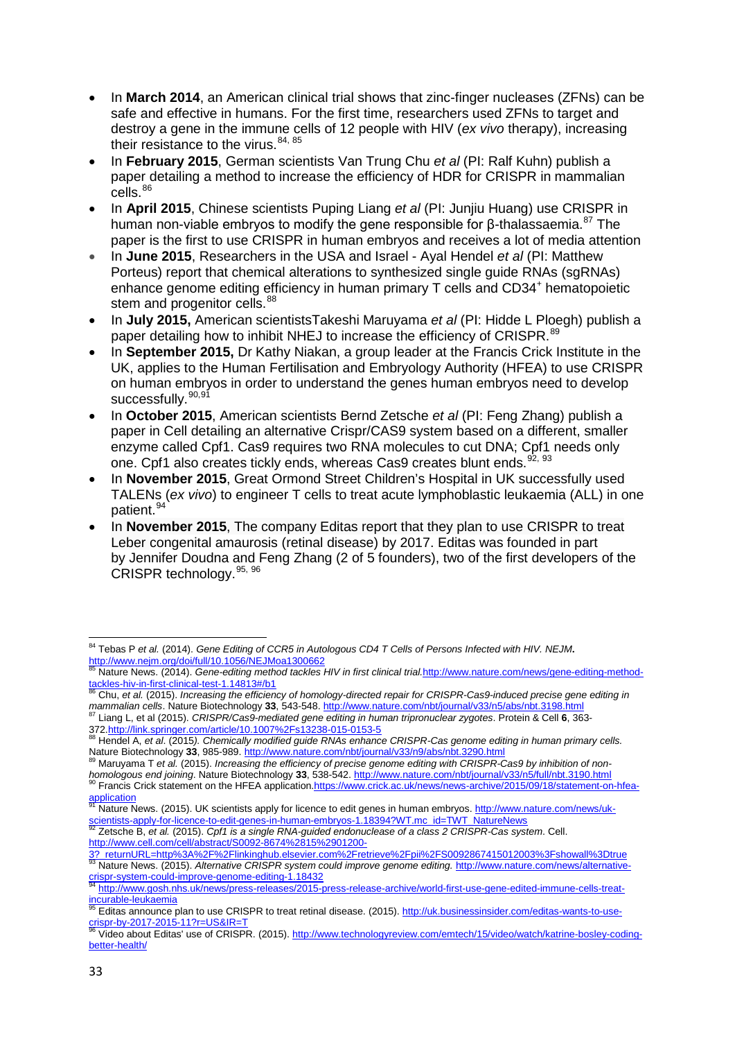- In **March 2014**, an American clinical trial shows that zinc-finger nucleases (ZFNs) can be safe and effective in humans. For the first time, researchers used ZFNs to target and destroy a gene in the immune cells of 12 people with HIV (*ex vivo* therapy), increasing their resistance to the virus. [84,](#page-32-0) [85](#page-32-1)
- In **February 2015**, German scientists Van Trung Chu *et al* (PI: Ralf Kuhn) publish a paper detailing a method to increase the efficiency of HDR for CRISPR in mammalian cells.<sup>[86](#page-32-2)</sup>
- In **April 2015**, Chinese scientists Puping Liang *et al* (PI: Junjiu Huang) use CRISPR in human non-viable embryos to modify the gene responsible for β-thalassaemia.<sup>[87](#page-32-3)</sup> The paper is the first to use CRISPR in human embryos and receives a lot of media attention
- In **June 2015**, Researchers in the USA and Israel Ayal Hendel *et al* (PI: Matthew Porteus) report that chemical alterations to synthesized single guide RNAs (sgRNAs) enhance genome editing efficiency in human primary T cells and CD34<sup>+</sup> hematopoietic stem and progenitor cells.<sup>[88](#page-32-4)</sup>
- In **July 2015,** American scientistsTakeshi Maruyama *et al* (PI: Hidde L Ploegh) publish a paper detailing how to inhibit NHEJ to increase the efficiency of CRISPR.<sup>[89](#page-32-5)</sup>
- In **September 2015,** Dr Kathy Niakan, a group leader at the Francis Crick Institute in the UK, applies to the Human Fertilisation and Embryology Authority (HFEA) to use CRISPR on human embryos in order to understand the genes human embryos need to develop successfully.<sup>[90](#page-32-6),[91](#page-32-7)</sup>
- In **October 2015**, American scientists Bernd Zetsche *et al* (PI: Feng Zhang) publish a paper in Cell detailing an alternative Crispr/CAS9 system based on a different, smaller enzyme called Cpf1. Cas9 requires two RNA molecules to cut DNA; Cpf1 needs only one. Cpf1 also creates tickly ends, whereas Cas9 creates blunt ends. [92](#page-32-8), [93](#page-32-9)
- In **November 2015**, Great Ormond Street Children's Hospital in UK successfully used TALENs (*ex vivo*) to engineer T cells to treat acute lymphoblastic leukaemia (ALL) in one patient.<sup>[94](#page-32-10)</sup>
- In **November 2015**, The company Editas report that they plan to use CRISPR to treat Leber congenital amaurosis (retinal disease) by 2017. Editas was founded in part by Jennifer Doudna and Feng Zhang (2 of 5 founders), two of the first developers of the CRISPR technology.[95](#page-32-11), [96](#page-32-12)

<span id="page-32-8"></span>http://www.cell.com/cell/abstract/S0092-8674%2815%2901200-

<span id="page-32-0"></span><sup>84</sup> Tebas P *et al.* (2014). *Gene Editing of CCR5 in Autologous CD4 T Cells of Persons Infected with HIV. NEJM***.**  <http://www.nejm.org/doi/full/10.1056/NEJMoa1300662>

<span id="page-32-1"></span><sup>&</sup>lt;sup>85</sup> Nature News. (2014). *Gene-editing method tackles HIV in first clinical trial.http://www.nature.com/news/gene-editing-method-<br>tackles-hiv-in-first-clinical-test-1.14813#/b1<br>Records and the common proposed of the commo* 

Chu, et al. (2015). Increasing the efficiency of homology-directed repair for CRISPR-Cas9-induced precise gene editing in

<span id="page-32-3"></span><span id="page-32-2"></span>mammalian cells. Nature Biotechnology 33, 543-548.<http://www.nature.com/nbt/journal/v33/n5/abs/nbt.3198.html><br><sup>87</sup> Liang L, et al (2015). CRISPR/Cas9-mediated gene editing in human tripronuclear zygotes. Protein & Cell 6,

<span id="page-32-4"></span><sup>&</sup>lt;sup>88</sup> Hendel A, *et al.* (2015). Chemically modified guide RNAs enhance CRISPR-Cas genome editing in human primary cells.<br>Nature Biotechnology 33, 985-989. http://www.nature.com/nbt/journal/v33/n9/abs/nbt.3290.html

<sup>89</sup> Maruyama T et al. (2015). Increasing the efficiency of precise genome editing with CRISPR-Cas9 by inhibition of non-

<span id="page-32-6"></span><span id="page-32-5"></span>homologous end joining. Nature Biotechnology 33, 538-542.<http://www.nature.com/nbt/journal/v33/n5/full/nbt.3190.html><br><sup>90</sup> Francis Crick statement on the HFEA application.https://www.crick.ac.uk/news/news-archive/2015/09/1 application

<span id="page-32-7"></span>Nature News. (2015). UK scientists apply for licence to edit genes in human embryos. http://www.nature.com/news/ukscientists-apply-for-licence-to-edit-genes-in-human-embryos-1.18394?WT.mc\_id=TWT\_NatureNews <sup>92</sup> Zetsche B, *et al.* (2015). *Cpf1 is a single RNA-guided endonuclease of a class 2 CRISPR-Cas system*. Cell.

<span id="page-32-9"></span><sup>37</sup> returnURL=http%3A%2F%2Flinkinghub.elsevier.com%2Fretrieve%2Fpil%2FS0092867415012003%3Fshowall%3Dtrue<br><sup>83</sup> Nature News. (2015). Alternative CRISPR system could improve genome editing. http://www.nature.com/news/alternati

<span id="page-32-10"></span><sup>&</sup>lt;u>system-could-improve-genome-editing-improve-genome-editing-improve-genome-editing-distant and incurable-leukaemia<br>Incurable-leukaemia</u>

<span id="page-32-11"></span>Editas announce plan to use CRISPR to treat retinal disease. (2015). http://uk.businessinsider.com/editas-wants-to-usecrispr-by-2017-2015-11?r=US&IR=T<br><sup>96</sup> Video about Editas' use of CRISPR. (2015). [http://www.technologyreview.com/emtech/15/video/watch/katrine-bosley-coding-](http://www.technologyreview.com/emtech/15/video/watch/katrine-bosley-coding-better-health/)

<span id="page-32-12"></span>[better-health/](http://www.technologyreview.com/emtech/15/video/watch/katrine-bosley-coding-better-health/)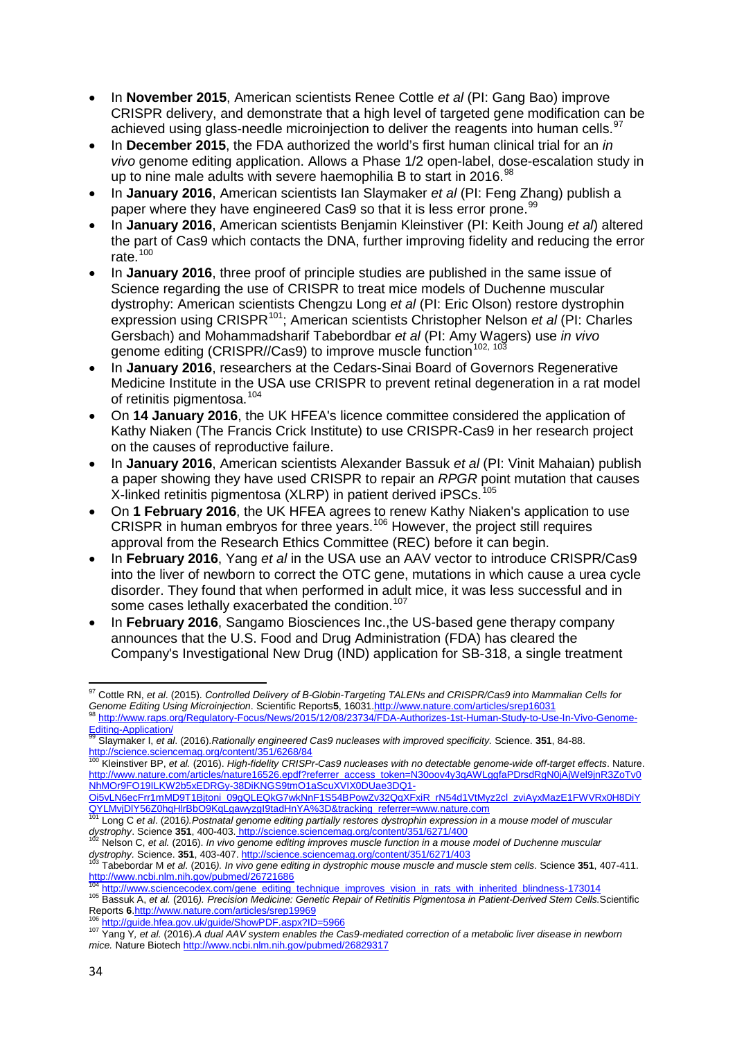- In **November 2015**, American scientists Renee Cottle *et al* (PI: Gang Bao) improve CRISPR delivery, and demonstrate that a high level of targeted gene modification can be achieved using glass-needle microinjection to deliver the reagents into human cells.<sup>[97](#page-33-0)</sup>
- In **December 2015**, the FDA authorized the world's first human clinical trial for an *in vivo* genome editing application. Allows a Phase 1/2 open-label, dose-escalation study in up to nine male adults with severe haemophilia B to start in 2016.<sup>[98](#page-33-1)</sup>
- In **January 2016**, American scientists Ian Slaymaker *et al* (PI: Feng Zhang) publish a paper where they have engineered Cas9 so that it is less error prone.<sup>[99](#page-33-2)</sup>
- In **January 2016**, American scientists Benjamin Kleinstiver (PI: Keith Joung *et al*) altered the part of Cas9 which contacts the DNA, further improving fidelity and reducing the error rate $100$
- In **January 2016**, three proof of principle studies are published in the same issue of Science regarding the use of CRISPR to treat mice models of Duchenne muscular dystrophy: American scientists Chengzu Long *et al* (PI: Eric Olson) restore dystrophin expression using CRISPR[101](#page-33-4); American scientists Christopher Nelson *et al* (PI: Charles Gersbach) and Mohammadsharif Tabebordbar *et al* (PI: Amy Wagers) use *in vivo* genome editing (CRISPR//Cas9) to improve muscle function<sup>[102,](#page-33-5) [103](#page-33-6)</sup>
- In **January 2016**, researchers at the Cedars-Sinai Board of Governors Regenerative Medicine Institute in the USA use CRISPR to prevent retinal degeneration in a rat model of retinitis pigmentosa.<sup>[104](#page-33-7)</sup>
- On **14 January 2016**, the UK HFEA's licence committee considered the application of Kathy Niaken (The Francis Crick Institute) to use CRISPR-Cas9 in her research project on the causes of reproductive failure.
- In **January 2016**, American scientists Alexander Bassuk *et al* (PI: Vinit Mahaian) publish a paper showing they have used CRISPR to repair an *RPGR* point mutation that causes X-linked retinitis pigmentosa (XLRP) in patient derived iPSCs.<sup>[105](#page-33-8)</sup>
- On **1 February 2016**, the UK HFEA agrees to renew Kathy Niaken's application to use CRISPR in human embryos for three years.<sup>[106](#page-33-9)</sup> However, the project still requires approval from the Research Ethics Committee (REC) before it can begin.
- In **February 2016**, Yang *et al* in the USA use an AAV vector to introduce CRISPR/Cas9 into the liver of newborn to correct the OTC gene, mutations in which cause a urea cycle disorder. They found that when performed in adult mice, it was less successful and in some cases lethally exacerbated the condition.<sup>[107](#page-33-10)</sup>
- In **February 2016**, Sangamo Biosciences Inc.,the US-based gene therapy company announces that the U.S. Food and Drug Administration (FDA) has cleared the Company's Investigational New Drug (IND) application for SB-318, a single treatment

<span id="page-33-0"></span> $\overline{a}$ <sup>97</sup> Cottle RN, *et al*. (2015). *Controlled Delivery of Β-Globin-Targeting TALENs and CRISPR/Cas9 into Mammalian Cells for*  Genome Editing Using Microinjection. Scientific Reports5, 1603[1.http://www.nature.com/articles/srep16031](http://www.nature.com/articles/srep16031)<br><sup>98</sup> [http://www.raps.org/Regulatory-Focus/News/2015/12/08/23734/FDA-Authorizes-1st-Human-Study-to-Use-In-Vivo-Genome-](http://www.raps.org/Regulatory-Focus/News/2015/12/08/23734/FDA-Authorizes-1st-Human-Study-to-Use-In-Vivo-Genome-Editing-Application/)

<span id="page-33-2"></span><span id="page-33-1"></span>[Editing-Application/](http://www.raps.org/Regulatory-Focus/News/2015/12/08/23734/FDA-Authorizes-1st-Human-Study-to-Use-In-Vivo-Genome-Editing-Application/) <sup>99</sup> Slaymaker I, *et al*. (2016).*Rationally engineered Cas9 nucleases with improved specificity.* Science. **351**, 84-88.

<span id="page-33-3"></span><http://science.sciencemag.org/content/351/6268/84> <sup>100</sup> Kleinstiver BP, *et al.* (2016). *High-fidelity CRISPr-Cas9 nucleases with no detectable genome-wide off-target effects*. Nature. [http://www.nature.com/articles/nature16526.epdf?referrer\\_access\\_token=N30oov4y3qAWLggfaPDrsdRgN0jAjWel9jnR3ZoTv0](http://www.nature.com/articles/nature16526.epdf?referrer_access_token=N30oov4y3qAWLggfaPDrsdRgN0jAjWel9jnR3ZoTv0NhMOr9FO19ILKW2b5xEDRGy-38DiKNGS9tmO1aScuXVIX0DUae3DQ1-Oi5vLN6ecFrr1mMD9T1Bjtoni_09gQLEQkG7wkNnF1S54BPowZv32QqXFxiR_rN54d1VtMyz2cl_zviAyxMazE1FWVRx0H8DiYQYLMvjDlY56Z0hqHlrBbO9KqLgawyzgI9tadHnYA%3D&tracking_referrer=www.nature.com) [NhMOr9FO19ILKW2b5xEDRGy-38DiKNGS9tmO1aScuXVIX0DUae3DQ1-](http://www.nature.com/articles/nature16526.epdf?referrer_access_token=N30oov4y3qAWLggfaPDrsdRgN0jAjWel9jnR3ZoTv0NhMOr9FO19ILKW2b5xEDRGy-38DiKNGS9tmO1aScuXVIX0DUae3DQ1-Oi5vLN6ecFrr1mMD9T1Bjtoni_09gQLEQkG7wkNnF1S54BPowZv32QqXFxiR_rN54d1VtMyz2cl_zviAyxMazE1FWVRx0H8DiYQYLMvjDlY56Z0hqHlrBbO9KqLgawyzgI9tadHnYA%3D&tracking_referrer=www.nature.com)

[Oi5vLN6ecFrr1mMD9T1Bjtoni\\_09gQLEQkG7wkNnF1S54BPowZv32QqXFxiR\\_rN54d1VtMyz2cl\\_zviAyxMazE1FWVRx0H8DiY](http://www.nature.com/articles/nature16526.epdf?referrer_access_token=N30oov4y3qAWLggfaPDrsdRgN0jAjWel9jnR3ZoTv0NhMOr9FO19ILKW2b5xEDRGy-38DiKNGS9tmO1aScuXVIX0DUae3DQ1-Oi5vLN6ecFrr1mMD9T1Bjtoni_09gQLEQkG7wkNnF1S54BPowZv32QqXFxiR_rN54d1VtMyz2cl_zviAyxMazE1FWVRx0H8DiYQYLMvjDlY56Z0hqHlrBbO9KqLgawyzgI9tadHnYA%3D&tracking_referrer=www.nature.com)\_<br>QYLMyjDIY56Z0hqHlrBbO9KqLgawyzgl9tadHnYA%3D&tracking\_referrer=www.nature.com<br><sup>101</sup> Long C et al. (2010) Dastasticles

<span id="page-33-4"></span>Long C et al. (2016).Postnatal genome editing partially restores dystrophin expression in a mouse model of muscular dystrophy. Science 351, 400-403. http://science.sciencemag.org/content/351/6271/400<br><sup>102</sup> Nelson C, et al. (2016). In vivo genome editing improves muscle function in a mouse model of Duchenne muscular

<span id="page-33-5"></span>out and the US of the US of the US of the US of the US of the US of the US of the US of the US of the US of the US of the US of the US of the US of the US of the US of the US of the US of the US of the US of the US of the

<span id="page-33-6"></span><http://www.ncbi.nlm.nih.gov/pubmed/26721686><br>http://www.ncbi.nlm.nih.gov/pubmed/26721686<br><sup>104</sup> http://www.sciencecodex.com/gene\_editing\_technique\_improves\_vision\_in\_rats\_with\_inherited\_blindness-173014

<span id="page-33-8"></span><span id="page-33-7"></span><sup>105</sup> Bassuk A, et al. (2016). Precision Medicine: Genetic Repair of Retinitis Pigmentosa in Patient-Derived Stem Cells. Scientific<br>Reports 6.http://www.nature.com/articles/srep19969

<span id="page-33-10"></span><span id="page-33-9"></span><sup>&</sup>lt;sup>106</sup> [http://guide.hfea.gov.uk/guide/ShowPDF.aspx?ID=5966](http://guide.hfea.gov.uk/guide/ShowPDF.aspx?ID=5966%20)<br><sup>107</sup> Yang Y, et al. (2016).A dual AAV system enables the Cas9-mediated correction of a metabolic liver disease in newborn *mice.* Nature Biotec[h http://www.ncbi.nlm.nih.gov/pubmed/26829317](http://www.ncbi.nlm.nih.gov/pubmed/26829317)